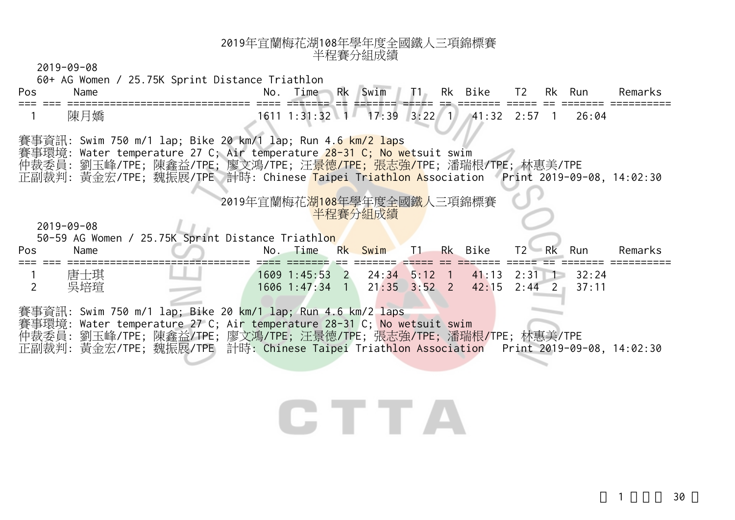2019-09-08

| Pos | Name                     | 60+ AG Women / 25.75K Sprint Distance Triathlon<br>Swim   T1 Rk Bike   T2 Rk Run<br>Time Rk<br>Remarks<br>No.                                                                                                                                                                                                             |
|-----|--------------------------|---------------------------------------------------------------------------------------------------------------------------------------------------------------------------------------------------------------------------------------------------------------------------------------------------------------------------|
|     | 陳月嬌                      | 1611 1:31:32 1 17:39 3:22 1 41:32 2:57 1<br>26:04                                                                                                                                                                                                                                                                         |
|     |                          | 賽事資訊: Swim 750 m/1 lap; Bike 20 km/1 lap; Run 4.6 km/2 laps<br>賽事環境: Water temperature 27 C; Air temperature 28-31 C; No wetsuit swim<br>仲裁委員: 劉玉峰/TPE; 陳鑫益/TPE; 廖文鴻/TPE; 汪 <mark>景德/TPE; 張志強/T</mark> PE; 潘瑞根/TPE; 林惠美/TPE<br>正副裁判: 黃金宏/TPE; 魏振展/TPE 計時: Chinese Taipei Triathlon Association Print 2019-09-08, 14:02:30 |
| Pos | $2019 - 09 - 08$<br>Name | 2019年宜蘭梅花湖108年學年度全國鐵人三項錦標賽<br>半程賽分組成績<br>50-59 AG Women / 25.75K Sprint Distance Triathlon<br>Rk Bike<br>No. Time<br>Rk Swim<br>T1<br>$T2 - Rk$<br>Remarks<br>Run                                                                                                                                                         |
|     | 唐士琪<br>吳培瑄               | 1609 1:45:53 2 24:34 5:12 1<br>$41:13$ $2:31$ 1<br>32:24<br>1606 1:47:34 1<br>$21:35$ $3:52$ 2<br>$2:44$ 2<br>42:15<br>37:11                                                                                                                                                                                              |
|     |                          | 賽事資訊: Swim 750 m/1 lap; Bike 20 km/1 lap; Run 4.6 km/2 laps<br>賽事環境: Water temperature 27 C; Air temperature 28-31 C; No wetsuit swim<br>仲裁委員: 劉玉峰/TPE; 陳鑫益/TPE; 廖文鴻/TPE; 汪景德/TPE; 張志強/TPE; 潘瑞根/TPE; 林惠美/TPE<br>正副裁判: 黃金宏/TPE; 魏振展/TPE 計時: Chinese Taipei Triathlon Association Print 2019-09-08, 14:02:30                |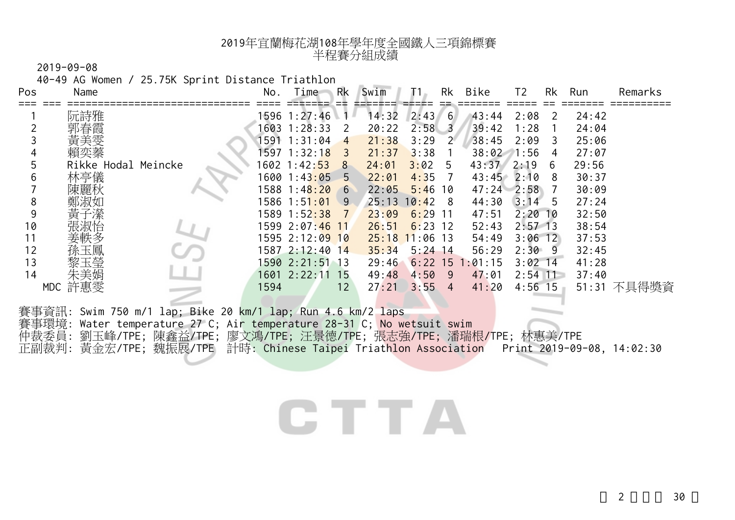2019-09-08

40-49 AG Women / 25.75K Sprint Distance Triathlon

| Pos | Name                |                                                          | No.   | Time                       | Rk             | Swim  | ī1         | Rk  | Bike               | T2        | Rk | Run   | Remarks     |
|-----|---------------------|----------------------------------------------------------|-------|----------------------------|----------------|-------|------------|-----|--------------------|-----------|----|-------|-------------|
|     | 阮詩雅                 |                                                          |       | 1596 1:27:46               |                | 14:32 | 2:43       | 6   | 43:44              | 2:08      | 2  | 24:42 |             |
|     |                     |                                                          | 1603. | 1:28:33                    | 2              | 20:22 | 2:58       | -3  | 39:42              | 1:28      |    | 24:04 |             |
|     |                     |                                                          | 1591  | 1:31:04                    | 4              | 21:38 | 3:29       | - 2 | 38:45              | 2:09      | 3  | 25:06 |             |
| 4   | 賴奕蓁                 |                                                          |       | 1597 1:32:1 <mark>8</mark> | 3              | 21:37 | 3:38       |     | $38:02 \quad 1:56$ |           | 4  | 27:07 |             |
| 5   | Rikke Hodal Meincke |                                                          |       | 1602 1:42: <mark>53</mark> | 8 <sup>8</sup> | 24:01 | 3:02       | 5   | 43:37              | 2:19      | 6  | 29:56 |             |
| 6   | 林亭儀                 |                                                          |       | 1600 1:43:05               | 5              | 22:01 | 4:35       |     | 43:45              | 2:10      | 8  | 30:37 |             |
|     | 陳麗秋                 |                                                          |       | 1588 1:4 <mark>8:20</mark> | 6              | 22:05 | 5:46       | 10  | $47:24$ 2:58       |           |    | 30:09 |             |
| 8   | 鄭淑如                 |                                                          |       | 1586 1:5 <mark>1:01</mark> | 9              | 25:13 | 10:42      | - 8 | 44:30              | 3:14      | 5  | 27:24 |             |
| 9   | 子瀠<br>黃             |                                                          |       | 1589 1:52:38               | 7              | 23:09 | 6:29       | -11 | 47:51              | $2:20$ 10 |    | 32:50 |             |
| 10  |                     |                                                          |       | 1599 2:07:46 11            |                | 26:51 | 6:23       | 12  | 52:43              | $2:57$ 13 |    | 38:54 |             |
| 11  | 姜軼多                 |                                                          |       | 1595 2:12:09 10            |                | 25:18 | $11:06$ 13 |     | 54:49              | $3:06$ 12 |    | 37:53 |             |
| 12  | 玉鳳                  |                                                          |       | 1587 2:12:40 14            |                | 35:34 | $5:24$ 14  |     | 56:29              | 2:30      | -9 | 32:45 |             |
| 13  | 黎玉瑩                 |                                                          |       | 1590 2:21:51 13            |                | 29:46 |            |     | $6:22$ 15 1:01:15  | $3:02$ 14 |    | 41:28 |             |
| 14  | 朱美娟                 |                                                          |       | 1601 2:22:11               | 15             | 49:48 | 4:50       | -9  | 47:01              | $2:54$ 11 |    | 37:40 |             |
|     | 許惠雯<br>MDC          |                                                          | 1594  |                            | 12             | 27:21 | 3:55       | 4   | 41:20              | $4:56$ 15 |    |       | 51:31 不具得獎資 |
|     | 塞車咨訊・               | Swim 750 m/1 $\ln$ Rike 20 km/1 $\ln$ Run 4 6 km/2 $\ln$ |       |                            |                |       |            |     |                    |           |    |       |             |

賽事資訊: Swim 750 m/1 lap; Bike 20 km/1 lap; Run 4.6 km/2 laps 賽事環境: Water temperature 27 C; Air temperature 28-31 C; No wetsuit swim 仲裁委員: 劉玉峰/TPE; 陳鑫益/TPE; 廖文鴻/TPE; 汪景德/TPE; 張志強/TPE; 潘瑞根/TPE; 林惠美/TPE 正副裁判: 黃金宏/TPE; 魏振展/TPE 計時: Chinese Taipei Triathlon Association Print 2019-09-08, 14:02:30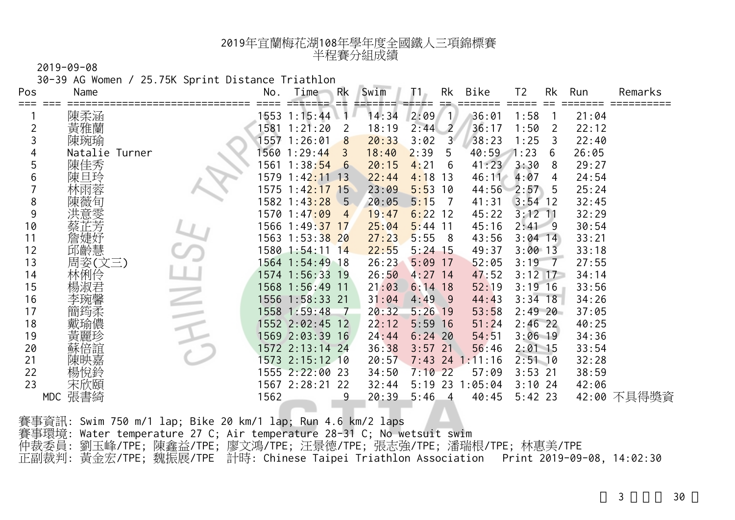2019-09-08

30-39 AG Women / 25.75K Sprint Distance Triathlon

| Pos | Name           | No.  | Time                          | Rk              | Swim  |           | Rk             | Bike    | Τ2         | Rk | Run   | Remarks     |
|-----|----------------|------|-------------------------------|-----------------|-------|-----------|----------------|---------|------------|----|-------|-------------|
|     | 陳柔涵            | 1553 | 1:15:44                       |                 | 14:34 | 2:09      | $\blacksquare$ | 36:01   | 1:58       |    | 21:04 |             |
|     | 黃雅蘭            |      | 1:21:20                       | 2               |       |           |                |         |            |    |       |             |
|     |                | 1581 |                               |                 | 18:19 | 2:44      | $\overline{2}$ | 36:17   | 1:50       | 2  | 22:12 |             |
|     | 陳琬瑜            |      | 1557 1:26:01                  | 8               | 20:33 | 3:02      | 3 <sup>1</sup> | 38:23   | 1:25       | 3  | 22:40 |             |
| 4   | Natalie Turner |      | 1560 1:29:44                  | 3               | 18:40 | 2:39      | 5              | 40:59   | 1:23       | 6  | 26:05 |             |
| 5   | 陳佳秀            | 1561 | 1:38:54                       | 6               | 20:15 | 4:21      | 6              | 41:23   | 3:30       | 8  | 29:27 |             |
| 6   | 日玲<br>陳        | 1579 | 1:42:11                       | $\overline{13}$ | 22:44 | 4:18      | 13             | 46:11   | 4:07       | 4  | 24:54 |             |
|     |                |      | 1575 1:4 <mark>2:17 15</mark> |                 | 23:09 | 5:53      | 10             | 44:56   | 2:57       | 5  | 25:24 |             |
| 8   |                |      | 1582 1:43:28 5                |                 | 20:05 | 5:15      | - 7            | 41:31   | $3:54$ 12  |    | 32:45 |             |
| 9   | 意雯             |      | 1570 1:4 <mark>7:09</mark>    | 4               | 19:47 | $6:22$ 12 |                | 45:22   | $3:12$ 11  |    | 32:29 |             |
| 10  |                | 1566 | $1:49:37$ 17                  |                 | 25:04 | 5:44      | 11             | 45:16   | $2:41 - 9$ |    | 30:54 |             |
| 11  | 詹婕妤            |      | 1563 1:53:3 <mark>8 20</mark> |                 | 27:23 | 5:55      | - 8            | 43:56   | $3:04$ 14  |    | 33:21 |             |
| 12  | 邱齡慧            |      | 1580 1:54:11 14               |                 | 22:55 | $5:24$ 15 |                | 49:37   | $3:00$ 13  |    | 33:18 |             |
| 13  | 周姿(文三)         |      | 1564 1:54:49 18               |                 | 26:23 | 5:09      | -17            | 52:05   | 3:19       | -7 | 27:55 |             |
| 14  | 林俐伶            |      | 1574 1:56:33 19               |                 | 26:50 | 4:27      | 14             | 47:52   | $3:12$ 17  |    | 34:14 |             |
| 15  | 楊淑君            |      | 1568 1:56:49 11               |                 | 21:03 | $6:14$ 18 |                | 52:19   | $3:19$ 16  |    | 33:56 |             |
| 16  |                |      | 1556 1:58:33 21               |                 | 31:04 | 4:49      | - 9            | 44:43   | $3:34$ 18  |    | 34:26 |             |
| 17  |                |      | 1558 1:59:48                  |                 | 20:32 | 5:26      | 19             | 53:58   | $2:49$ 20  |    | 37:05 |             |
| 18  |                |      | 1552 2:02:45 12               |                 | 22:12 | 5:59      | <b>16</b>      | 51:24   | $2:46$ 22  |    | 40:25 |             |
| 19  |                |      | 1569 2:03:39 16               |                 | 24:44 | 6:24      | 20             | 54:51   | $3:06$ 19  |    | 34:36 |             |
| 20  | 音誼             |      | 1572 2:13:14 24               |                 | 36:38 | $3:57$ 21 |                | 56:46   | $2:01$ 15  |    | 33:54 |             |
| 21  | 央嘉             |      | 1573 2:15:12 10               |                 | 20:57 | $7:43$ 24 |                | : 11:16 | $2:51$ 10  |    | 32:28 |             |
| 22  | 楊悅鈴            |      | 1555 2:22:00 23               |                 | 34:50 | $7:10$ 22 |                | 57:09   | $3:53$ 21  |    | 38:59 |             |
| 23  |                |      | 1567 2:28:21                  | - 22            | 32:44 | 5:19      | 23             | 1:05:04 | $3:10$ 24  |    | 42:06 |             |
|     | MDC 張書綺        | 1562 |                               | 9               | 20:39 | 5:46      | 4              | 40:45   | $5:42$ 23  |    |       | 42:00 不具得獎資 |
|     |                |      |                               |                 |       |           |                |         |            |    |       |             |

賽事資訊: Swim 750 m/1 lap; Bike 20 km/1 lap; Run 4.6 km/2 laps 賽事環境: Water temperature 27 C; Air temperature 28-31 C; No wetsuit swim 仲裁委員: 劉玉峰/TPE; 陳鑫益/TPE; 廖文鴻/TPE; 汪景德/TPE; 張志強/TPE; 潘瑞根/TPE; 林惠美/TPE 正副裁判: 黃金宏/TPE; 魏振展/TPE 計時: Chinese Taipei Triathlon Association Print 2019-09-08, 14:02:30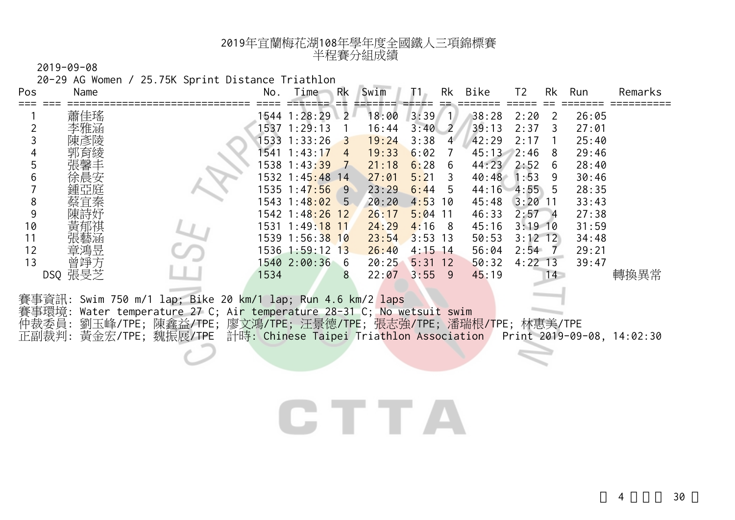2019-09-08

20-29 AG Women / 25.75K Sprint Distance Triathlon

| Pos            | Name    |                                                                                                                                                       | No.  | Time                          | Rk             | Swim  |           |                         | Rk Bike      | T <sub>2</sub> | Rk           | Run   | Remarks |
|----------------|---------|-------------------------------------------------------------------------------------------------------------------------------------------------------|------|-------------------------------|----------------|-------|-----------|-------------------------|--------------|----------------|--------------|-------|---------|
|                | 蕭佳瑤     |                                                                                                                                                       |      | 1544 1:28:29 2                |                | 18:00 | 3:39      | / 1/                    | 38:28        | 2:20           | <sup>2</sup> | 26:05 |         |
|                |         |                                                                                                                                                       |      | 1537 1:29:13                  |                | 16:44 | $3:40$ 2  |                         | 39:13        | 2:37           | 3            | 27:01 |         |
|                |         |                                                                                                                                                       |      | 1533 1:33:26                  | 3              | 19:24 | 3:38      | $\overline{4}$          | 42:29        | 2:17           |              | 25:40 |         |
|                |         |                                                                                                                                                       |      | 1541 1:43:17                  | $\overline{4}$ | 19:33 | 6:02      |                         | 45:13        | 2:46           | 8            | 29:46 |         |
|                |         |                                                                                                                                                       |      | 1538 1:43:39 7                |                | 21:18 | 6:28      | - 6                     | 44:23        | 2:52           | 6            | 28:40 |         |
| 6              |         |                                                                                                                                                       |      | 1532 1:45 <mark>:48</mark> 14 |                | 27:01 | 5:21      | $\overline{\mathbf{3}}$ | 40:48        | 1:53           | 9            | 30:46 |         |
|                |         |                                                                                                                                                       |      | 1535 1:47:56 9                |                | 23:29 | 6:44      | -5                      | 44:16 4:55 5 |                |              | 28:35 |         |
| 8              |         |                                                                                                                                                       |      | 1543 1:4 <mark>8:02</mark> 5  |                | 20:20 | 4:53      | 10                      | 45:48        | $3:20$ 11      |              | 33:43 |         |
| 9              |         |                                                                                                                                                       |      | 1542 1:48:26 12               |                | 26:17 | $5:04$ 11 |                         | 46:33        | $2:57 - 4$     |              | 27:38 |         |
| 10             |         |                                                                                                                                                       |      | 1531 1:49:18 11               |                | 24:29 | $4:16$ 8  |                         | 45:16        | $3:19$ 10      |              | 31:59 |         |
| 11             |         |                                                                                                                                                       |      | 1539 1:56:38 10               |                | 23:54 | $3:53$ 13 |                         | 50:53        | $3:12$ 12      |              | 34:48 |         |
| 12             | 童鴻导     |                                                                                                                                                       |      | 1536 1:59:12 13               |                | 26:40 | $4:15$ 14 |                         | 56:04        | $2:54$ 7       |              | 29:21 |         |
| 13             | 曾琤方     |                                                                                                                                                       |      | 1540 2:00:36 6                |                | 20:25 | 5:31      | 12                      | 50:32        | $4:22$ 13      |              | 39:47 |         |
|                | DSQ 張旻芝 |                                                                                                                                                       | 1534 |                               | 8              | 22:07 | $3:55$ 9  |                         | 45:19        |                | 14           |       | 轉換異常    |
| 賽事環境:          |         | 賽事資訊: Swim 750 m/1 lap; Bike 20 km/1 lap; Run 4.6 km/2 laps<br>Water temperature 27 C; Air temperature 28-31 C; No wetsuit swim                       |      |                               |                |       |           |                         |              |                |              |       |         |
| 仲裁委員:<br>正副裁判: |         | 劉玉峰/TPE; 陳鑫益/TPE; 廖文鴻/TPE; 汪景德/TPE; 張志強/TPE; 潘瑞根/TPE; 林惠美/TPE<br>黃金宏/TPE; 魏振展/TPE 計時: Chinese Taipei Triathlon Association Print 2019-09-08, 14:02:30 |      |                               |                |       |           |                         |              |                |              |       |         |
|                |         |                                                                                                                                                       |      |                               |                |       |           |                         |              |                |              |       |         |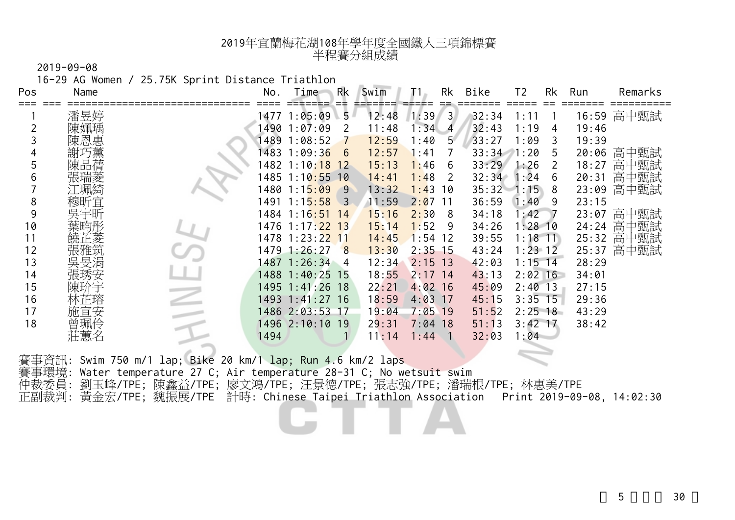2019-09-08

16-29 AG Women / 25.75K Sprint Distance Triathlon

| Pos | Name | No.  | Rk<br>Time                        | Swim                    | Rk                     | Bike  | Τ2<br>Rk            | Run<br>Remarks |
|-----|------|------|-----------------------------------|-------------------------|------------------------|-------|---------------------|----------------|
|     | 潘昱婷  |      | 1477 1:05:09                      | 5<br>12:48              | 1:39<br>$\overline{3}$ | 32:34 | 1:1                 | 高中甄試<br>16:59  |
|     |      | 1490 | 1:07:09                           | 11:48<br>2              | 1:34<br>$\overline{A}$ | 32:43 | 1:19<br>4           | 19:46          |
|     | 恩惠   | 1489 | 1:08:52                           | 12:59                   | 1:40<br>5              | 33:27 | 1:09<br>3           | 19:39          |
|     |      | 1483 | 1:09:36                           | 12:57<br>6              | 1:41                   | 33:34 | 1:20<br>5           | 高中甄試<br>20:06  |
| 5   |      | 1482 | 1:10:18<br>12                     | 15:13                   | 1:46<br>6              | 33:29 | 1:26                | 高中甄試<br>18:27  |
| 6   |      | 1485 | $1:10:55$ 10                      | 14:41                   | 1:48<br>-2             | 32:34 | 1:24<br>6           | 高中甄試<br>20:31  |
|     | 「珮綺  | 1480 | 1:15:09                           | 13:32<br>9              | 1:43<br>10             |       | $35:32 - 1:15$<br>8 | 高中甄試<br>23:09  |
| 8   | 穆昕宜  | 1491 | 1:15:58                           | 11:59<br>$\overline{3}$ | 2:07<br>-11            | 36:59 | 1:40<br>9           | 23:15          |
| 9   | 宇昕   |      | 1484 1:16 <mark>:5</mark> 1<br>14 | 15:16                   | 2:30<br>-8             | 34:18 | :42                 | 高中甄試<br>23:07  |
| 10  |      |      | 1476 1:17 <mark>:22 13</mark>     | 15:14                   | 1:52<br>-9             | 34:26 | $1:28$ 10           | 高中甄試<br>24:24  |
| 11  | 芷菱   |      | 1478 1:23:2 <mark>2 11</mark>     | 14:45                   | 1:54<br>-12            | 39:55 | $1:18$ 11           | 高中甄試<br>25:32  |
| 12  |      |      | 1479 1:26:27                      | 13:30<br>8              | $2:35$ 15              | 43:24 | $1:23 \; 12$        | 高中甄試<br>25:37  |
| 13  | 吳旻涓  | 1487 | 1:26:34<br>$\overline{4}$         | 12:34                   | 2:15<br>13             | 42:03 | $1:15$ 14           | 28:29          |
| 14  | 張琇安  |      | 1488 1:40:25 15                   | 18:55                   | 2:17<br>14             | 43:13 | $2:02$ 16           | 34:01          |
| 15  |      |      | 1495 1:41:26 18                   | 22:21                   | $4:02$ 16              | 45:09 | $2:40$ 13           | 27:15          |
| 16  |      |      | 1493 1:41:27 16                   | 18:59                   | 4:03<br>-17            | 45:15 | $3:35$ 15           | 29:36          |
| 17  | 施宣安  |      | 1486 2:03:53 17                   | 19:04                   | 7:05<br>19             | 51:52 | $2:25$ 18           | 43:29          |
| 18  |      |      | 1496 2:10:10 19                   | 29:31                   | 7:04<br>18             | 51:13 | $3:42$ 17           | 38:42          |
|     |      | 1494 |                                   | 11:14                   | 1 : 44                 | 32:03 | l:04                |                |
|     |      |      |                                   |                         |                        |       |                     |                |

賽事資訊: Swim 750 m/1 lap; Bike 20 km/1 lap; Run 4.6 km/2 laps 賽事環境: Water temperature 27 C; Air temperature 28-31 C; No wetsuit swim 仲裁委員: 劉玉峰/TPE; 陳鑫益/TPE; 廖文鴻/TPE; 汪景德/TPE; 張志強/TPE; 潘瑞根/TPE; 林惠美/TPE 正副裁判: 黃金宏/TPE; 魏振展/TPE 計時: Chinese Taipei Triathlon Association Print 2019-09-08, 14:02:30

5 30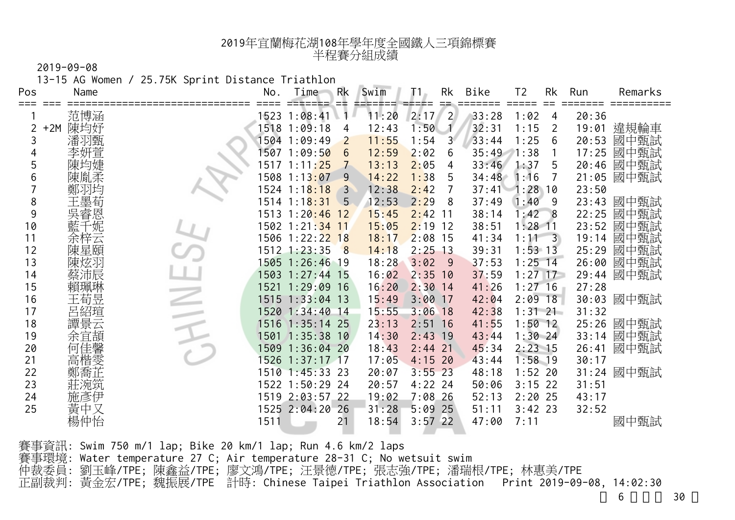2019-09-08

13-15 AG Women / 25.75K Sprint Distance Triathlon

| Pos | Name         | No.  | Time                       | Rk             | Swim  |           | Rk             | Bike        | T <sub>2</sub> | Rk | Run   | Remarks    |
|-----|--------------|------|----------------------------|----------------|-------|-----------|----------------|-------------|----------------|----|-------|------------|
|     | 范博涵          |      | 1523 1:08:41               | 1              | 11:20 | 2:17      | $\overline{2}$ | 33:28       | 1:02           | 4  | 20:36 |            |
| 2   | 陳均妤<br>$+2M$ |      | 1518 1:09:18               | 4              | 12:43 | 1:50      | $\mathcal{A}$  | 32:31       | 1:15           | 2  | 19:01 | 違規輪車       |
| 3   | 潘羽甄          |      | 1504 1:09:49               | $\overline{2}$ | 11:55 | 1:54      | 3 <sup>1</sup> | 33:44       | 1:25           | 6  | 20:53 | 國中甄試       |
| 4   | 李妍萱          |      | 1507 1:09:5 <mark>0</mark> | 6              | 12:59 | 2:02      | 6              | 35:49       | 1:38           |    | 17:25 | 國中甄試       |
| 5   | 陳均婕          |      | 1517 1:11 <mark>:25</mark> | 7              | 13:13 | 2:05      | 4              | 33:46       | 1:37           | 5  | 20:46 | 國中甄試       |
| 6   | 陳胤柔          |      | 1508 1:13 <mark>:07</mark> | 9              | 14:22 | 1:38      | 5              | 34:48       | 1:16           |    | 21:05 | 國中甄試       |
|     | 鄭羽均          |      | 1524 1:1 <mark>8:18</mark> | $\overline{3}$ | 12:38 | 2:42      |                | $37:41 - 1$ | : 28, 10       |    | 23:50 |            |
| 8   | 王墨荀          |      | 1514 1:18:31 5             |                | 12:53 | 2:29      | -8             | 37:49       | 1:40           | 9  | 23:43 | 國中甄試       |
| 9   | 睿恩           |      | 1513 1:20:46 12            |                | 15:45 | 2:42      | -11            | 38:14       | 1:42 8         |    | 22:25 | 國中甄試       |
| 10  | 「妮           |      | 1502 1:21:34 11            |                | 15:05 | 2:19      | <b>12</b>      | 38:51       | $1:28$ 11      |    | 23:52 | 國中甄試       |
| 11  | 余梓云          |      | 1506 1:22:22 18            |                | 18:17 | 2:08      | 15             | 41:34       | $1:11 \quad 3$ |    | 19:14 | 國中甄試       |
| 12  | 陳星頤          |      | $1512$ $1:23:35$           | 8              | 14:18 | $2:25$ 13 |                | 39:31       | $1:53$ 13      |    | 25:29 | 國中甄試       |
| 13  | 陳炫羽          |      | 1505 1:26:46 19            |                | 18:28 | 3:02      | - 9            | 37:53       | $1:25$ 14      |    | 26:00 | 國中甄試       |
| 14  | 蔡沛辰          |      | 1503 1:27:44 15            |                | 16:02 | 2:35      | 10             | 37:59       | $1:27$ 17      |    | 29:44 | 國中甄試       |
| 15  | 賴珮琳          |      | 1521 1:29:09 16            |                | 16:20 | 2:30      | 14             | 41:26       | $1:27$ 16      |    | 27:28 |            |
| 16  | 王荀昱          |      | 1515 1:33:04 13            |                | 15:49 | 3:00      | 17             | 42:04       | $2:09$ 18      |    | 30:03 | 國中甄試       |
| 17  | 呂紹瑄          |      | 1520 1:34:40 14            |                | 15:55 | 3:06      | 18             | 42:38       | $1:31$ 21      |    | 31:32 |            |
| 18  | 譚景云          | 1516 | $1:35:14$ 25               |                | 23:13 | 2:51      | <sup>16</sup>  | 41:55       | $1:50$ 12      |    |       | 25:26 國中甄試 |
| 19  | 余宜頡          | 1501 | $1:35:38$ 10               |                | 14:30 | 2:43      | 19             | 43:44       | $1:30$ 24      |    | 33:14 | 國中甄試       |
| 20  | 何            | 1509 | $1:36:04$ 20               |                | 18:43 | 2:44      | 21             | 45:34       | $2:23$ 15      |    | 26:41 | 國中甄試       |
| 21  | 高楷雯          | 1526 | $1:37:17$ 17               |                | 17:05 | $4:15$ 20 |                | 43:44       | $1:58$ 19      |    | 30:17 |            |
| 22  | 鄭喬芷          |      | 1510 1:45:33 23            |                | 20:07 | $3:55$ 23 |                | 48:18       | $1:52$ 20      |    |       | 31:24 國中甄試 |
| 23  | 莊涴筑          |      | 1522 1:50:29 24            |                | 20:57 | $4:22$ 24 |                | 50:06       | $3:15$ 22      |    | 31:51 |            |
| 24  | 施彥伊          |      | 1519 2:03:57 22            |                | 19:02 | $7:08$ 26 |                | 52:13       | $2:20$ 25      |    | 43:17 |            |
| 25  | 黃中又          |      | 1525 2:04:20 26            |                | 31:28 | $5:09$ 25 |                | 51:11       | $3:42$ 23      |    | 32:52 |            |
|     | 楊仲怡          | 1511 |                            | 21             | 18:54 | $3:57$ 22 |                | 47:00       | 7:11           |    |       | 國中甄試       |

賽事資訊: Swim 750 m/1 lap; Bike 20 km/1 lap; Run 4.6 km/2 laps 賽事環境: Water temperature 27 C; Air temperature 28-31 C; No wetsuit swim 仲裁委員: 劉玉峰/TPE; 陳鑫益/TPE; 廖文鴻/TPE; 汪景德/TPE; 張志強/TPE; 潘瑞根/TPE; 林惠美/TPE 正副裁判: 黃金宏/TPE; 魏振展/TPE 計時: Chinese Taipei Triathlon Association Print 2019-09-08, 14:02:30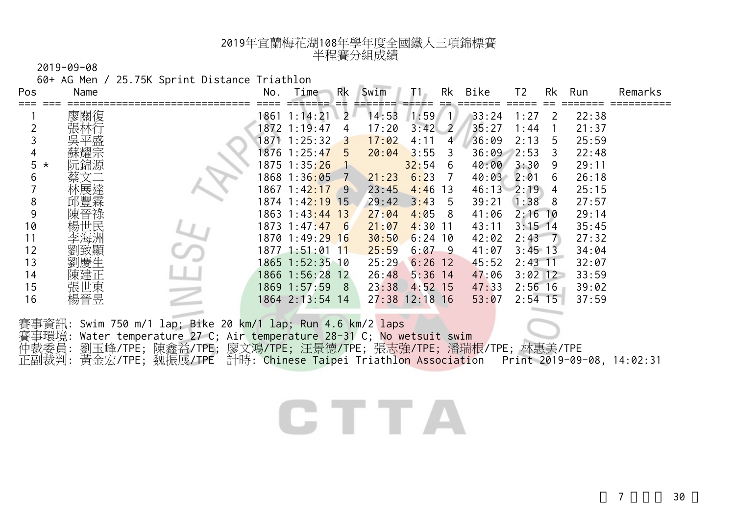2019-09-08

60+ AG Men / 25.75K Sprint Distance Triathlon

| Pos          | Name |                                                                                                                                              | No.  | Time                           | Rk | Swim  |            | Rk             | Bike  | T2             | Rk | Run   | Remarks |
|--------------|------|----------------------------------------------------------------------------------------------------------------------------------------------|------|--------------------------------|----|-------|------------|----------------|-------|----------------|----|-------|---------|
|              | 廖關復  |                                                                                                                                              | 1861 | 1:14:21                        | 2  | 14:53 | 1:59       | $\overline{1}$ | 33:24 | 1:27           | 2  | 22:38 |         |
|              |      |                                                                                                                                              |      | 1872 1:19:47                   | 4  | 17:20 | 3:42       | $\overline{2}$ | 35:27 | 1:44           |    | 21:37 |         |
|              |      |                                                                                                                                              |      | 1871 1:25:32                   | 3  | 17:02 | 4:11       | 4              | 36:09 | 2:13           | 5  | 25:59 |         |
| 4            | 耀宗   |                                                                                                                                              |      | 1876 1:25:47                   | 5  | 20:04 | 3:55       | 3              | 36:09 | 2:53           | 3  | 22:48 |         |
| 5<br>$\star$ | 阮錦源  |                                                                                                                                              |      | 1875 1:35: <mark>26</mark>     |    |       | 32:54      | - 6            | 40:00 | 3:30           | 9  | 29:11 |         |
| 6            |      |                                                                                                                                              |      | 1868 1:36 <mark>:05</mark>     |    | 21:23 | 6:23       |                | 40:03 | 2:01           | 6  | 26:18 |         |
|              |      |                                                                                                                                              |      | 1867 1:4 <mark>2:17</mark>     | -9 | 23:45 | 4:46       | 13             | 46:13 | 2:19           | 4  | 25:15 |         |
| 8            | 邱豐霖  |                                                                                                                                              |      | 1874 1:4 <mark>2:19 1</mark> 5 |    | 29:42 | 3:43       | -5             | 39:21 | 1:38           | 8  | 27:57 |         |
| 9            | 晉祿   |                                                                                                                                              |      | 1863 1:43:44 13                |    | 27:04 | 4:05       | -8             | 41:06 | $2:16$ 10      |    | 29:14 |         |
| 10           | 場世民  |                                                                                                                                              |      | 1873 1:47 <mark>:47 6</mark>   |    | 21:07 | 4:30       | -11            | 43:11 | $3:15$ 14      |    | 35:45 |         |
| 11           | 李海洲  |                                                                                                                                              |      | 1870 1:49:2 <mark>9 16</mark>  |    | 30:50 | $6:24$ 10  |                | 42:02 | $2:43 \quad 7$ |    | 27:32 |         |
| 12           | 致顯   |                                                                                                                                              |      | 1877 1:51:01 1 <mark>1</mark>  |    | 25:59 | 6:07       | - 9            | 41:07 | $3:45$ 13      |    | 34:04 |         |
| 13           | 劉慶生  |                                                                                                                                              |      | 1865 1:52:35 10                |    | 25:29 | 6:26       | 12             | 45:52 | $2:43$ 11      |    | 32:07 |         |
| 14           | 陳建正  |                                                                                                                                              |      | 1866 1:56:28 12                |    | 26:48 | $5:36$ 14  |                | 47:06 | $3:02$ 12      |    | 33:59 |         |
| 15           | 張世東  |                                                                                                                                              |      | 1869 1:57:59                   | 8  | 23:38 | $4:52$ 15  |                | 47:33 | $2:56$ 16      |    | 39:02 |         |
| 16           | 楊晉昱  |                                                                                                                                              |      | 1864 2:13:54 14                |    | 27:38 | $12:18$ 16 |                | 53:07 | $2:54$ 15      |    | 37:59 |         |
|              |      |                                                                                                                                              |      |                                |    |       |            |                |       |                |    |       |         |
| ₩古王 本        |      | 賽事資訊: Swim 750 m/1 lap; Bike 20 km/1 lap; Run 4.6 km/2 laps<br>Wetch temperature $27.0, h_{\rm m}$ temperature $20.21, 0, h_{\rm m}$ wetchit |      |                                |    |       |            |                |       |                |    |       |         |

賽事環境: Water temperature 27 C; Air temperature 28-31 C; No wetsuit swim 仲裁委員: 劉玉峰/TPE; 陳鑫益/TPE; 廖文鴻/TPE; 汪景德/TPE; 張志強/TPE; 潘瑞根/TPE; 林惠美/TPE 正副裁判: 黃金宏/TPE; 魏振展/TPE 計時: Chinese Taipei Triathlon Association - Print 2019-09-08, 14:02:31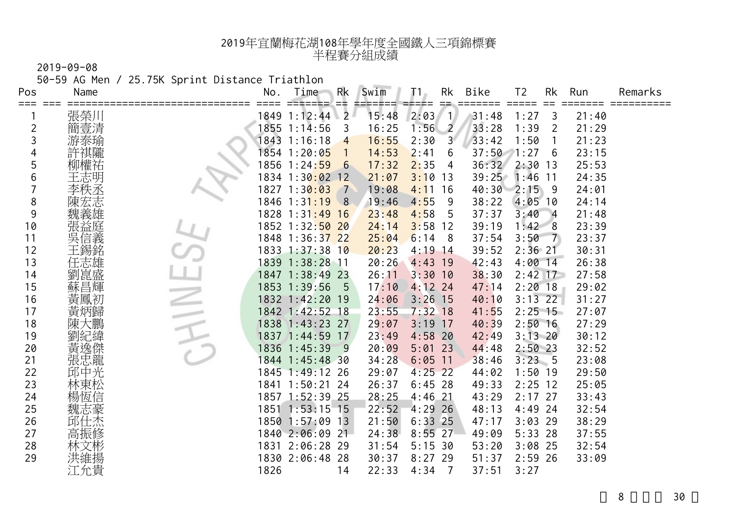50-59 AG Men / 25.75K Sprint Distance Triathlon

| Pos<br>≡≡≡     | Name | No.  | Time                          | Rk<br>Ξŧ        | Swim  | T1.            | Rk              | Bike  | T <sub>2</sub> | Rk             | Run   | Remarks |
|----------------|------|------|-------------------------------|-----------------|-------|----------------|-----------------|-------|----------------|----------------|-------|---------|
|                | 張榮川  |      | 1849 1:12:44 2                |                 | 15:48 | $2:03 \quad 1$ |                 | 31:48 | 1:27           | 3              | 21:40 |         |
| $\overline{2}$ | 簡壹清  |      | 1855 1:14:56                  | 3               | 16:25 | 1:56           | $\overline{2}$  | 33:28 | 1:39           | $\overline{2}$ | 21:29 |         |
| 3              | 游泰瑜  |      | 1843 1:16:18                  | $\overline{4}$  | 16:55 | 2:30           | 3 <sup>1</sup>  | 33:42 | 1:50           |                | 21:23 |         |
| 4              | 許祺隴  |      | 1854 1:20:0 <mark>5</mark>    |                 | 14:53 | 2:41           | 6               | 37:50 | 1:27           | 6              | 23:15 |         |
| 5              | 柳權祐  |      | 1856 1:24:59                  | $6\overline{6}$ | 17:32 | 2:35           | $\overline{4}$  | 36:32 | $2:30$ 13      |                | 25:53 |         |
| 6              | 王志明  |      | 1834 1:30 <mark>:02 12</mark> |                 | 21:07 | 3:10           | -13             | 39:25 | $1:46$ 11      |                | 24:35 |         |
|                | 李秩丞  |      | 1827 1:30:03                  | $\overline{7}$  | 19:08 | 4:11           | 16              | 40:30 | $2:15$ 9       |                | 24:01 |         |
| 8              | 陳宏志  |      | 1846 1:3 <mark>1:19</mark>    | 8               | 19:46 | 4:55           | -9              | 38:22 | $4:05$ 10      |                | 24:14 |         |
| 9              |      |      | 1828 1:31:49 16               |                 | 23:48 | 4:58           | 5               | 37:37 | 3:40           | $\overline{4}$ | 21:48 |         |
| 10             | 張益庭  |      | 1852 1:32:50 20               |                 | 24:14 | 3:58           | 12              | 39:19 | 1:42           | 8              | 23:39 |         |
| 11             | 吳信義  |      | 1848 1:36:37 22               |                 | 25:04 | 6:14           | -8              | 37:54 | 3:50           | 7              | 23:37 |         |
| 12             | 王錫銘  |      | 1833 1:37:38 10               |                 | 20:23 | 4:19           | -14             | 39:52 | $2:36$ 21      |                | 30:31 |         |
| 13             | 任志雄  |      | 1839 1:38:28 11               |                 | 20:26 | 4:43           | 19              | 42:43 | $4:00$ 14      |                | 26:38 |         |
| 14             | 劉崑盛  |      | 1847 1:38:49 23               |                 | 26:11 | 3:30           | 10              | 38:30 | $2:42$ 17      |                | 27:58 |         |
| 15             | 蘇昌輝  |      | 1853 1:39:56                  | 5               | 17:10 | $4:12$ 24      |                 | 47:14 | $2:20$ 18      |                | 29:02 |         |
| 16             | 黃鳳初  |      | 1832 1:42:20 19               |                 | 24:06 | 3:26           | 15              | 40:10 | $3:13$ 22      |                | 31:27 |         |
| 17             | 黃炳歸  |      | 1842 1:42:52 18               |                 | 23:55 | $7:32$ 18      |                 | 41:55 | $2:25$ 15      |                | 27:07 |         |
| 18             |      |      | 1838 1:43:23 27               |                 | 29:07 | 3:19           | 17              | 40:39 | $2:50$ 16      |                | 27:29 |         |
| 19             | 劉紀緯  |      | 1837 1:44:59 17               |                 | 23:49 | 4:58           | 20              | 42:49 | $3:13$ 20      |                | 30:12 |         |
| 20             | 黃逸傑  |      | 1836 1:45:39                  | - 9             | 20:09 | $5:01$ 23      |                 | 44:48 | $2:50$ 23      |                | 32:52 |         |
| 21             | 張忠龍  |      | 1844 1:45:48 30               |                 | 34:28 | 6:05           | $\overline{11}$ | 38:46 | 3:23.5         |                | 23:08 |         |
| 22             | 邱中光  |      | 1845 1:49:12 26               |                 | 29:07 | $4:25$ 22      |                 | 44:02 | $1:50$ 19      |                | 29:50 |         |
| 23             | 林東松  |      | 1841 1:50:21 24               |                 | 26:37 | $6:45$ 28      |                 | 49:33 | $2:25$ 12      |                | 25:05 |         |
| 24             | 楊恆信  |      | 1857 1:52:39 25               |                 | 28:25 | 4:46           | 21              | 43:29 | $2:17$ 27      |                | 33:43 |         |
| 25             | 魏志豪  |      | 1851 1:53:15 15               |                 | 22:52 | 4:29           | 26              | 48:13 | $4:49$ 24      |                | 32:54 |         |
| 26             | 邱仕杰  |      | 1850 1:57:09 13               |                 | 21:50 | 6:33           | -25             | 47:17 | $3:03$ 29      |                | 38:29 |         |
| 27             | 高振修  |      | 1840 2:06:09 21               |                 | 24:38 | $8:55$ 27      |                 | 49:09 | $5:33$ 28      |                | 37:55 |         |
| 28             | 文彬   |      | 1831 2:06:28 29               |                 | 31:54 | 5:15.30        |                 | 53:20 | $3:08$ 25      |                | 32:54 |         |
| 29             | 洪維揚  |      | 1830 2:06:48 28               |                 | 30:37 | 8:27           | -29             | 51:37 | $2:59$ 26      |                | 33:09 |         |
|                | 江允貴  | 1826 |                               | 14              | 22:33 | 4:34           | $\overline{7}$  | 37:51 | 3:27           |                |       |         |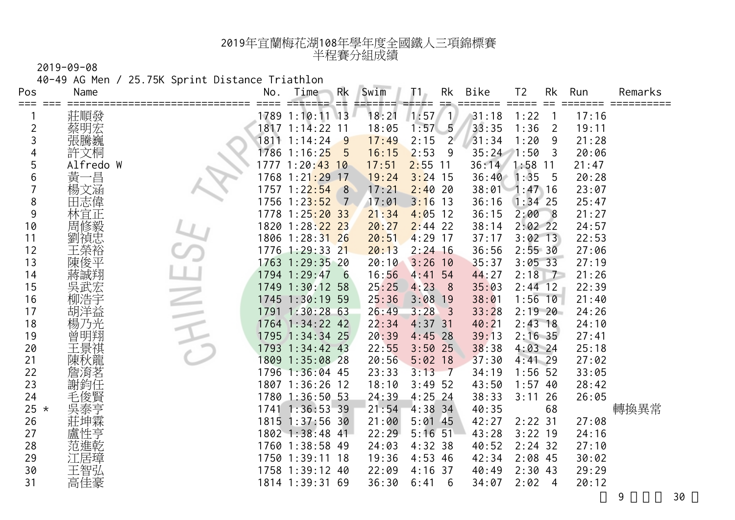40-49 AG Men / 25.75K Sprint Distance Triathlon

| Pos            | Name      | No.  | Time                          | Rk<br>==        | Swim  | Τ1.       | Rk<br>$=$               | Bike          | T <sub>2</sub> | Rk             | Run   | Remarks |
|----------------|-----------|------|-------------------------------|-----------------|-------|-----------|-------------------------|---------------|----------------|----------------|-------|---------|
| ⋍⋍⋍            | 莊順發       |      | 1789 1:10:11 13               |                 | 18:21 | $1:57$ 1  |                         | 31:18         | 1:22           |                | 17:16 |         |
| $\overline{2}$ | 蔡明宏       |      | 1817 1:14:22 11               |                 | 18:05 | 1:57      | $-5$                    | 33:35         | 1:36           | 2              | 19:11 |         |
| 3              | 張騰巍       |      | 1811 1:14:24                  | 9               | 17:49 | 2:15      | $2^{\circ}$             | 31:34         | 1:20           | 9              | 21:28 |         |
| 4              | 許文桐       |      | 1786 1:16:2 <mark>5</mark>    | 5               | 16:15 | 2:53      | 9                       | $35:24$ 1:50  |                | 3              | 20:06 |         |
| 5              | Alfredo W |      | 1777 1:20:43 10               |                 | 17:51 | $2:55$ 11 |                         | 36:14         | $1:58$ 11      |                | 21:47 |         |
| 6              | 黃<br>一昌   |      | 1768 1:21 <mark>:29 17</mark> |                 | 19:24 | $3:24$ 15 |                         | 36:40         | 1:35           | 5              | 20:28 |         |
|                | 楊文涵       | 1757 | 1:22:54                       | 8               | 17:21 | 2:40      | 20                      | 38:01 1:47 16 |                |                | 23:07 |         |
| 8              | 田志偉       |      | 1756 1:23:52                  | $\sqrt{7}$      | 17:01 | 3:16      | 13                      | 36:16         | $1:34$ 25      |                | 25:47 |         |
| 9              | 林宜正       |      | 1778 1:25:20 33               |                 | 21:34 | 4:05      | 12                      | 36:15         | 2:008          |                | 21:27 |         |
| 10             | 周修毅       |      | 1820 1:28:22 23               |                 | 20:27 | $2:44$ 22 |                         | 38:14         | $2:02$ 22      |                | 24:57 |         |
| 11             | 劉禎忠       |      | 1806 1:28:31 26               |                 | 20:51 | $4:29$ 17 |                         | 37:17         | $3:02$ 13      |                | 22:53 |         |
| 12             |           |      | 1776 1:29:33 21               |                 | 20:13 | $2:24$ 16 |                         | 36:56         | 2:5530         |                | 27:06 |         |
| 13             | 陳俊平       |      | 1763 1:29:35 20               |                 | 20:10 | 3:26      | 10                      | 35:37         | $3:05$ 33      |                | 27:19 |         |
| 14             | 蔣誠翔       |      | 1794 1:29:47                  | $6\overline{6}$ | 16:56 | 4:41      | 54                      | 44:27         | 2:18           | $\overline{7}$ | 21:26 |         |
| 15             | 吳武宏       |      | 1749 1:30:12 58               |                 | 25:25 | 4:23      | 8                       | 35:03         | $2:44$ 12      |                | 22:39 |         |
| 16             | 浩宇        |      | 1745 1:30:19 59               |                 | 25:36 | 3:08      | <b>19</b>               | 38:01         | $1:56$ 10      |                | 21:40 |         |
| 17             | 胡洋益       |      | 1791 1:30:28 63               |                 | 26:49 | 3:28      | $\overline{\mathbf{3}}$ | 33:28         | $2:19$ 20      |                | 24:26 |         |
| 18             | 乃光        |      | 1764 1:34:22 42               |                 | 22:34 | $4:37$ 31 |                         | 40:21         | $2:43$ 18      |                | 24:10 |         |
| 19             | 曾         |      | 1795 1:34:34 25               |                 | 20:39 | 4:45      | 28                      | 39:13         | $2:16$ 35      |                | 27:41 |         |
| 20             |           | 1793 | $1:34:42$ 43                  |                 | 22:55 | 3:50      | 25                      | 38:38         | $4:03$ 24      |                | 25:18 |         |
| 21             | 陳秋龍       |      | 1809 1:35:08 28               |                 | 20:56 | $5:02$ 18 |                         | 37:30         | $4:41$ 29      |                | 27:02 |         |
| 22             | 詹淯茗       |      | 1796 1:36:04 45               |                 | 23:33 | 3:13      | $-7$                    | 34:19         | $1:56$ 52      |                | 33:05 |         |
| 23             | 謝鈞任       |      | 1807 1:36:26 12               |                 | 18:10 | $3:49$ 52 |                         | 43:50         | $1:57$ 40      |                | 28:42 |         |
| 24             | 毛俊賢       |      | 1780 1:36:50 53               |                 | 24:39 | 4:25      | -24                     | 38:33         | 3:11           | 26             | 26:05 |         |
| 25 $\star$     | 吳泰亨       |      | 1741 1:36:53 39               |                 | 21:54 | $4:38$ 34 |                         | 40:35         |                | 68             |       | 轉換異常    |
| 26             | 莊坤霖       |      | 1815 1:37:56 30               |                 | 21:00 | $5:01$ 45 |                         | 42:27         | $2:22$ 31      |                | 27:08 |         |
| 27             |           |      | 1802 1:38:48 41               |                 | 22:29 | $5:16$ 51 |                         | 43:28         | $3:22$ 19      |                | 24:16 |         |
| 28             | 范進乾       |      | 1760 1:38:58 49               |                 | 24:03 | 4:32.38   |                         | 40:52         | $2:24$ 32      |                | 27:10 |         |
| 29             | .居璋       |      | 1750 1:39:11 18               |                 | 19:36 | 4:53      | -46                     | 42:34         | $2:08$ 45      |                | 30:02 |         |
| 30             | 王智弘       |      | 1758 1:39:12 40               |                 | 22:09 | 4:16      | 37                      | 40:49         | $2:30$ 43      |                | 29:29 |         |
| 31             | 高佳豪       |      | 1814 1:39:31 69               |                 | 36:30 | 6:41      | 6                       | 34:07         | 2:02           | 4              | 20:12 |         |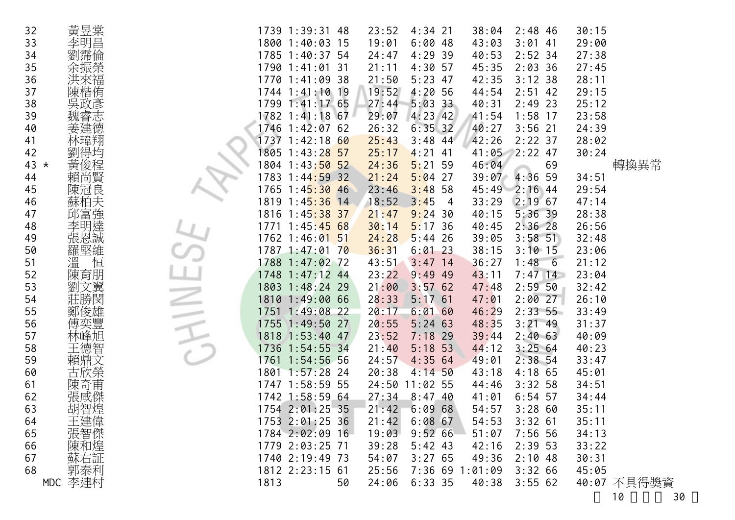| 32 |        | 黃昱棠           |                     |      | 1739 1:39:31 48               | 23:52 | $4:34$ 21              | 38:04           | $2:48$ 46    | 30:15 |             |
|----|--------|---------------|---------------------|------|-------------------------------|-------|------------------------|-----------------|--------------|-------|-------------|
| 33 |        | 李明昌           |                     |      | 1800 1:40:03 15               | 19:01 | 6:0048                 | 43:03           | $3:01$ 41    | 29:00 |             |
| 34 |        | 劉霈倫           |                     |      | 1785 1:40:37 54               | 24:47 | 4:29.39                | 40:53           | $2:52$ 34    | 27:38 |             |
| 35 |        | 余振榮           |                     |      | 1790 1:41:01 31               | 21:11 | $4:30$ 57              | 45:35           | $2:03$ 36    | 27:45 |             |
| 36 |        |               |                     |      | 1770 1:41:09 38               | 21:50 | $5:23$ 47              | 42:35           | 3:12.38      | 28:11 |             |
| 37 |        | 洪來福<br>陳楷侑    |                     |      | 1744 1:41:10 19               | 19:52 | 4:2056                 | 44:54           | $2:51$ 42    | 29:15 |             |
| 38 |        | 吳政彥           |                     |      | 1799 1:41:17 65               | 27:44 | $5:03$ 33              | 40:31           | $2:49$ 23    | 25:12 |             |
| 39 |        |               |                     |      | 1782 1:41:18 67               | 29:07 | $4:23$ 42              | 41:54           | $1:58$ 17    | 23:58 |             |
| 40 |        | 《魏睿建德》        |                     |      | 1746 1:42:07 62               | 26:32 | $6:35$ 32              | 40:27           | $3:56$ 21    | 24:39 |             |
| 41 |        | 林瑋翔           |                     |      | 1737 1:42:18 60               | 25:43 | $3:48$ 44              | 42:26           | $2:22$ 37    | 28:02 |             |
| 42 |        |               |                     |      | 1805 1:43:28 57               | 25:17 | $4:21$ 41              | 41:05           | $2:22$ 47    | 30:24 |             |
|    | $43 *$ | -劉黃賴:         |                     |      | 1804 1:43:50 52               | 24:36 | 5:2159                 | 46:04           | 69           |       | 轉換異常        |
| 44 |        |               |                     |      | 1783 1:44:59 32               | 21:24 | $5:04$ 27              | 39:07           | $4:36$ 59    | 34:51 |             |
| 45 |        | 陳冠良           |                     |      | 1765 1:45:30 46               | 23:46 | $3:48$ 58              | 45:49           | $2:16$ 44    | 29:54 |             |
| 46 |        | 蘇柏夫           |                     |      | 1819 1:4 <mark>5:36 14</mark> | 18:52 | 3:45<br>$\overline{4}$ | 33:29           | $2:19$ 67    | 47:14 |             |
| 47 |        |               |                     |      | 1816 1:45:38 37               | 21:47 | 9:24.30                | 40:15           | $5:36$ 39    | 28:38 |             |
| 48 |        | <b>「邱富連連」</b> |                     |      | 1771 1:45:45 68               | 30:14 | 5:17,36                | 40:45           | $2:36$ 28    | 26:56 |             |
| 49 |        | 張恩誠           |                     |      | 1762 1:46:01 51               | 24:28 | $5:44$ 26              | 39:05           | $3:58$ 51    | 32:48 |             |
| 50 |        | 羅堅維           |                     |      | 1787 1:47:01 70               | 36:31 | $6:01$ 23              | 38:15           | $3:10$ 15    | 23:06 |             |
| 51 |        | 溫<br>恒        |                     |      | 1788 1:47:02 72               | 43:51 | $3:47$ 14              | 36:27           | 1:48<br>$-6$ | 21:12 |             |
| 52 |        | 陳育朋           |                     |      | 1748 1:47:12 44               | 23:22 | $9:49$ 49              | 43:11           | $7:47$ 14    | 23:04 |             |
| 53 |        | 劉文翼           |                     |      | 1803 1:48:24 29               | 21:00 | 3:5762                 | 47:48           | $2:59$ 50    | 32:42 |             |
| 54 |        | 莊勝閔           |                     |      | 1810 1:49:00 66               | 28:33 | 5:1761                 | 47:01           | 2:0027       | 26:10 |             |
| 55 |        |               | $\sim$              |      | 1751 1:49:08 22               | 20:17 | 6:0160                 | 46:29           | $2:33$ 55    | 33:49 |             |
| 56 |        | 鄭俊雄豐          | $\widetilde{\prec}$ |      | 1755 1:49:50 27               | 20:55 | $5:24$ 63              | 48:35           | $3:21$ 49    | 31:37 |             |
| 57 |        | 林峰旭           |                     |      | 1818 1:53:40 47               | 23:52 | $7:18$ 29              | 39:44           | 2:4063       | 40:09 |             |
| 58 |        | 王德智           |                     |      | 1736 1:54:55 34               | 21:40 | $5:18$ 53              | 44:12           | 3:2564       | 40:23 |             |
| 59 |        |               |                     |      | 1761 1:54:56 56               | 24:57 | 4:3564                 | 49:01           | $2:38$ 54    | 33:47 |             |
| 60 |        | 賴鼎文<br>古欣榮    |                     |      | 1801 1:57:28 24               | 20:38 | $4:14$ 50              | 43:18           | $4:18$ 65    | 45:01 |             |
| 61 |        | 陳奇甫           |                     |      | 1747 1:58:59 55               | 24:50 | $11:02$ 55             | 44:46           | $3:32$ 58    | 34:51 |             |
| 62 |        | 張咸傑           |                     |      | 1742 1:58:59 64               | 27:34 | $8:47$ 40              | 41:01           | $6:54$ 57    | 34:44 |             |
| 63 |        | 胡智煌           |                     |      | 1754 2:01:25 35               | 21:42 | 6:0968                 | 54:57           | 3:2860       | 35:11 |             |
| 64 |        |               |                     |      | 1753 2:01:25 36               | 21:42 | 6:0867                 | 54:53           | $3:32$ 61    | 35:11 |             |
| 65 |        | 三建智和:<br>張智和: |                     |      | 1784 2:02:09 16               | 19:03 | 9:5266                 | 51:07           | $7:56$ 56    | 34:13 |             |
| 66 |        |               |                     |      | 1779 2:03:25 71               | 39:28 | $5:42$ 43              | 42:16           | $2:39$ 53    | 33:22 |             |
| 67 |        | 蘇右証           |                     |      | 1740 2:19:49 73               | 54:07 | 3:2765                 | 49:36           | $2:10$ 48    | 30:31 |             |
| 68 |        | 郭泰利           |                     |      | 1812 2:23:15 61               | 25:56 |                        | 7:36 69 1:01:09 | 3:3266       | 45:05 |             |
|    |        | MDC 李連村       |                     | 1813 | 50                            | 24:06 | 6:33.35                | 40:38           | 3:5562       |       | 40:07 不具得獎資 |
|    |        |               |                     |      |                               |       |                        |                 |              |       | 10<br>30    |
|    |        |               |                     |      |                               |       |                        |                 |              |       |             |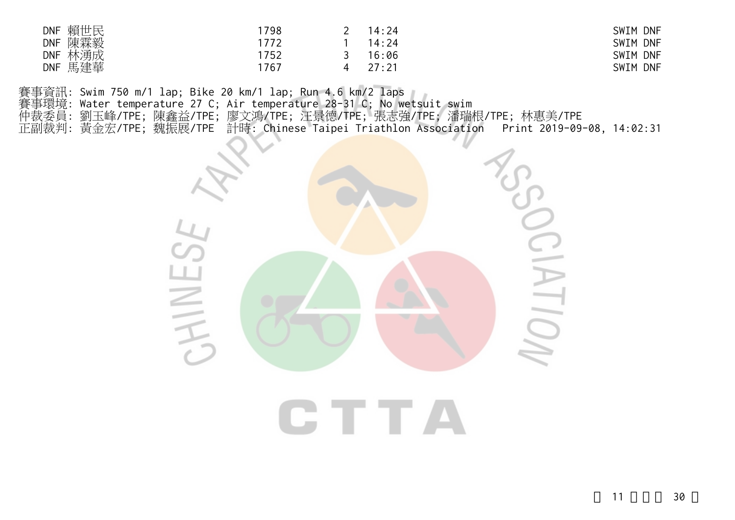| 賴世民<br><b>DNF</b> | 798 | 14:24 | SWIM DNF |
|-------------------|-----|-------|----------|
| 陳霖毅<br><b>DNF</b> | 772 | 14:24 | SWIM DNF |
| 林湧成<br><b>DNF</b> | 752 | 16:06 | SWIM DNF |
| 馬建華<br><b>DNF</b> | 767 | 27.21 | SWIM DNF |

賽事資訊: Swim 750 m/1 lap; Bike 20 km/1 lap; Run 4.6 km/2 laps 賽事環境: Water temperature 27 C; Air temperature 28-31 C; No wetsuit swim 仲裁委員: 劉玉峰/TPE; 陳鑫益/TPE; 廖文鴻/TPE; 汪景德/TPE; 張志強/TPE; 潘瑞根/TPE; 林惠美/TPE 正副裁判: 黃金宏/TPE; 魏振展/TPE 計時: Chinese Taipei Triathlon Association Print 2019-09-08, 14:02:31

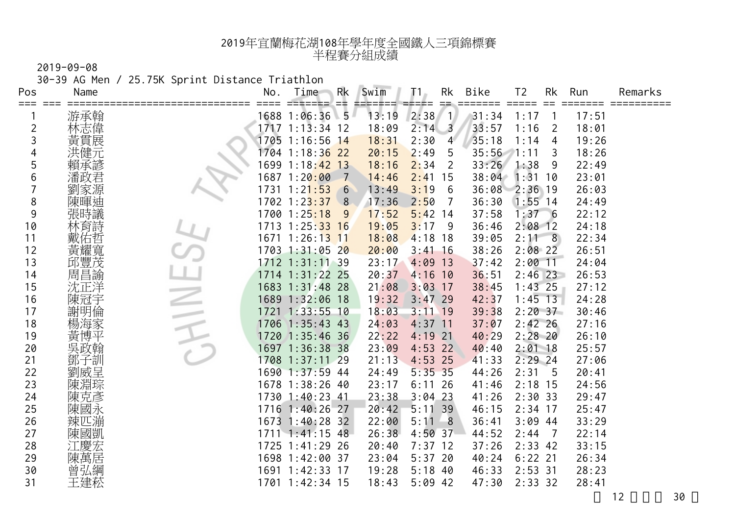30-39 AG Men / 25.75K Sprint Distance Triathlon

| Pos            | Name    | No.  | Time                          | Rk  | Swim  | T1.           | Rk                      | Bike  | T <sub>2</sub> | Rk             | Run   | Remarks |
|----------------|---------|------|-------------------------------|-----|-------|---------------|-------------------------|-------|----------------|----------------|-------|---------|
|                | 游承翰     |      | 1688 1:06:36 5                | l== | 13:19 | =====<br>2:38 | ==<br>$\overline{1}$    | 31:34 | 1:17           |                | 17:51 |         |
| $\overline{c}$ | 林志偉     |      | 1717 1:13:34 12               |     | 18:09 | 2:14          | $\overline{\mathbf{3}}$ | 33:57 | 1:16           | 2              | 18:01 |         |
| 3              | 黃貫展     |      | 1705 1:16:56 14               |     | 18:31 | 2:30          | $\overline{4}$          | 35:18 | 1:14           | 4              | 19:26 |         |
| 4              |         |      | 1704 1:18:3 <mark>6 22</mark> |     | 20:15 | 2:49          | 5                       | 35:56 | 7:11           | 3              | 18:26 |         |
| 5              | 賴承諺     | 1699 | $1:18:42$ 13                  |     | 18:16 | 2:34          | 2                       | 33:26 | 1:38           | 9              | 22:49 |         |
| 6              | 潘政君     |      | 1687 1:20 <mark>:00</mark>    | 7   | 14:46 | 2:41          | 15                      | 38:04 | 1:31           | 10             | 23:01 |         |
| 7              | 劉家源     | 1731 | 1:21:53                       | 6   | 13:49 | 3:19          | -6                      | 36:08 | $2:36$ 19      |                | 26:03 |         |
| 8              | 陳暉迪     |      | 1702 1:2 <mark>3:37</mark>    | 8   | 17:36 | 2:50          | 7                       | 36:30 | $1:55$ 14      |                | 24:49 |         |
| 9              | 張時議     |      | 1700 1:25:18                  | 9   | 17:52 | 5:42          | -14                     | 37:58 | 1:376          |                | 22:12 |         |
| 10             | 林育詩     |      | 1713 1:25:33 16               |     | 19:05 | 3:17          | -9                      | 36:46 | $2:08$ 12      |                | 24:18 |         |
| 11             | 佑哲      | 1671 | $1:26:13$ 11                  |     | 18:08 | 4:18          | 18                      | 39:05 | 2:11           | 8              | 22:34 |         |
| 12             | 黃耀寬     |      | 1703 1:31:05 20               |     | 20:00 | 3:41          | 16                      | 38:26 | $2:08$ 22      |                | 26:51 |         |
| 13             | 邱豐茂     |      | 1712 1:31:11 39               |     | 23:17 | 4:09          | 13                      | 37:42 | $2:00$ 11      |                | 24:04 |         |
| 14             | 周昌諭     |      | 1714 1:31:22 25               |     | 20:37 | 4:16          | 10                      | 36:51 | $2:46$ 23      |                | 26:53 |         |
| 15             | 沈正洋     |      | 1683 1:31:48 28               |     | 21:08 | 3:03          | 17                      | 38:45 | $1:43$ 25      |                | 27:12 |         |
| 16             | 陳冠宇     |      | 1689 1:32:06 18               |     | 19:32 | $3:47$ 29     |                         | 42:37 | $1:45$ 13      |                | 24:28 |         |
| 17             | 明倫<br>謝 | 1721 | $1:33:55$ 10                  |     | 18:03 | $3:11$ 19     |                         | 39:38 | 2:2037         |                | 30:46 |         |
| 18             | 楊海家     | 1706 | $1:35:43$ 43                  |     | 24:03 | $4:37$ 11     |                         | 37:07 | $2:42$ 26      |                | 27:16 |         |
| 19             | 黃<br>博平 | 1720 | $1:35:46$ 36                  |     | 22:22 | 4:19          | 21                      | 40:29 | $2:28$ 20      |                | 26:10 |         |
| 20             | 吳政翰     | 1697 | $1:36:38$ 38                  |     | 23:09 | 4:53          | 22                      | 40:40 | $2:01$ 18      |                | 25:57 |         |
| 21             | 鄧子訓     | 1708 | $1:37:11$ 29                  |     | 21:13 | 4:53          | 25                      | 41:33 | $2:29$ 24      |                | 27:06 |         |
| 22             | 劉威呈     |      | 1690 1:37:59 44               |     | 24:49 | $5:35$ 35     |                         | 44:26 | 2:31           | 5              | 20:41 |         |
| 23             | 陳淵琮     |      | 1678 1:38:26 40               |     | 23:17 | 6:11          | 26                      | 41:46 | $2:18$ 15      |                | 24:56 |         |
| 24             | 陳克彥     |      | 1730 1:40:23 41               |     | 23:38 | 3:04          | 23                      | 41:26 | 2:30.33        |                | 29:47 |         |
| 25             | 陳國永     |      | 1716 1:40:26 27               |     | 20:42 | 5:11          | 39                      | 46:15 | $2:34$ 17      |                | 25:47 |         |
| 26             | 辣匹漰     |      | 1673 1:40:28 32               |     | 22:00 | 5:11          | -8                      | 36:41 | $3:09$ 44      |                | 33:29 |         |
| 27             | 陳國凱     |      | 1711 1:41:15 48               |     | 26:38 | 4:50          | 37                      | 44:52 | 2:44           | $\overline{7}$ | 22:14 |         |
| 28             |         |      | 1725 1:41:29 26               |     | 20:40 | 7:37          | 12                      | 37:26 | $2:33$ 42      |                | 33:15 |         |
| 29             | 陳萬居     |      | 1698 1:42:00 37               |     | 23:04 | 5:37          | -20                     | 40:24 | $6:22$ 21      |                | 26:34 |         |
| 30             | 曾弘綱     | 1691 | $1:42:33$ 17                  |     | 19:28 | 5:18          | 40                      | 46:33 | $2:53$ 31      |                | 28:23 |         |
| 31             | 王建菘     |      | 1701 1:42:34 15               |     | 18:43 | $5:09$ 42     |                         | 47:30 | $2:33$ 32      |                | 28:41 |         |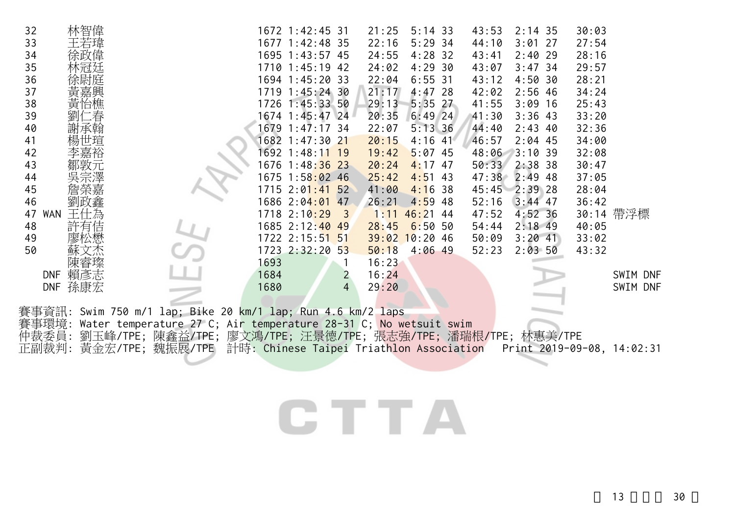| 32       | 林智偉                        |                                                                  |      | 1672 1:42:45 31                    |                            | 21:25 | $5:14$ 33                    | 43:53          | $2:14$ 35 | 30:03 |                            |
|----------|----------------------------|------------------------------------------------------------------|------|------------------------------------|----------------------------|-------|------------------------------|----------------|-----------|-------|----------------------------|
| 33       | 王若瑋                        |                                                                  |      | 1677 1:42:48 35                    |                            | 22:16 | $5:29$ 34                    | 44:10          | $3:01$ 27 | 27:54 |                            |
| 34       | 徐政偉                        |                                                                  |      | 1695 1:43:57 45                    |                            | 24:55 | $4:28$ 32                    | 43:41          | $2:40$ 29 | 28:16 |                            |
| 35       |                            |                                                                  |      | 1710 1:45:19 42                    |                            | 24:02 | 4:29.30                      | 43:07          | $3:47$ 34 | 29:57 |                            |
| 36       |                            |                                                                  |      | 1694 1:45:20 33                    |                            | 22:04 | 6:5531                       | 43:12          | 4:50.30   | 28:21 |                            |
| 37       |                            |                                                                  |      | 1719 1:45:24 30                    |                            | 21:17 | $4:47$ 28                    | 42:02          | $2:56$ 46 | 34:24 |                            |
| 38       | 峕<br>台樵                    |                                                                  |      | 1726 1:45:33 50                    |                            | 29:13 | $5:35$ 27                    | 41:55          | $3:09$ 16 | 25:43 |                            |
| 39       |                            |                                                                  |      | 1674 1:45:47 24                    |                            | 20:35 | $6:49$ 24                    | 41:30          | $3:36$ 43 | 33:20 |                            |
| 40       |                            |                                                                  |      | 1679 1:47:17 34                    |                            | 22:07 | 5:13.36                      | 44:40          | $2:43$ 40 | 32:36 |                            |
| 41       |                            |                                                                  |      | 1682 1:47:30 21                    |                            | 20:15 | $4:16$ 41                    | 46:57          | $2:04$ 45 | 34:00 |                            |
| 42       |                            |                                                                  |      | 1692 1:48:11 19                    |                            | 19:42 | $5:07$ 45                    | 48:06          | 3:10.39   | 32:08 |                            |
| 43       |                            |                                                                  |      | 1676 1:48:36 23                    |                            | 20:24 | $4:17$ 47                    | 50:33 2:38 38  |           | 30:47 |                            |
| 44       |                            |                                                                  |      | 1675 1:58:02 46                    |                            | 25:42 | $4:51$ 43                    | 47:38 2:49 48  |           | 37:05 |                            |
| 45       |                            |                                                                  |      | 1715 2:01:41 52<br>1686 2:04:01 47 |                            | 41:00 | 4:16.38                      | 45:45 2:39 28  | $3:44$ 47 | 28:04 |                            |
| 46<br>47 | <b>WAN</b><br>$+^{\prime}$ |                                                                  |      | 1718 2:10:29                       | $\overline{\phantom{a}}$ 3 | 26:21 | $4:59$ 48<br>$1:11$ 46:21 44 | 52:16<br>47:52 | $4:52$ 36 | 36:42 | 30:14 帶浮標                  |
| 48       |                            |                                                                  |      | 1685 2:12:40 49                    |                            | 28:45 | 6:50.50                      | 54:44          | $2:18$ 49 | 40:05 |                            |
| 49       |                            |                                                                  |      | 1722 2:15:51 51                    |                            |       | $39:02$ 10:20 46             | 50:09          | $3:20$ 41 | 33:02 |                            |
| 50       |                            |                                                                  |      | 1723 2:32:20 53                    |                            | 50:18 | $4:06$ 49                    | 52:23          | 2:0350    | 43:32 |                            |
|          |                            |                                                                  | 1693 |                                    | $\mathbf{1}$               | 16:23 |                              |                |           |       |                            |
|          | DNF 賴彥志                    |                                                                  | 1684 |                                    | $\overline{2}$             | 16:24 |                              |                |           |       | SWIM DNF                   |
|          | DNF 孫康宏                    |                                                                  | 1680 |                                    | $\overline{4}$             | 29:20 |                              |                |           |       | SWIM DNF                   |
|          |                            |                                                                  |      |                                    |                            |       |                              |                |           |       |                            |
|          |                            | 賽事資訊: Swim 750 m/1 lap; Bike 20 km/1 lap; Run 4.6 km/2 laps      |      |                                    |                            |       |                              |                |           |       |                            |
| 賽事環境:    |                            | Water temperature 27 C; Air temperature 28-31 C; No wetsuit swim |      |                                    |                            |       |                              |                |           |       |                            |
| 仲裁委員:    |                            | 劉玉峰/TPE; 陳鑫益/TPE; 廖文鴻/TPE; 汪景德/TPE; 張志強/TPE; 潘瑞根/TPE; 林惠美/TPE    |      |                                    |                            |       |                              |                |           |       |                            |
| 正副裁判:    |                            | 黃金宏/TPE; 魏振展/TPE 計時: Chinese Taipei Triathlon Association        |      |                                    |                            |       |                              |                |           |       | Print 2019-09-08, 14:02:31 |
|          |                            |                                                                  |      |                                    |                            |       |                              |                |           |       |                            |
|          |                            |                                                                  |      |                                    |                            |       |                              |                |           |       |                            |
|          |                            |                                                                  |      |                                    |                            |       |                              |                |           |       |                            |
|          |                            |                                                                  |      |                                    |                            |       |                              |                |           |       |                            |
|          |                            |                                                                  |      |                                    |                            |       |                              |                |           |       |                            |
|          |                            |                                                                  |      |                                    |                            |       |                              |                |           |       |                            |
|          |                            |                                                                  |      |                                    |                            |       |                              |                |           |       |                            |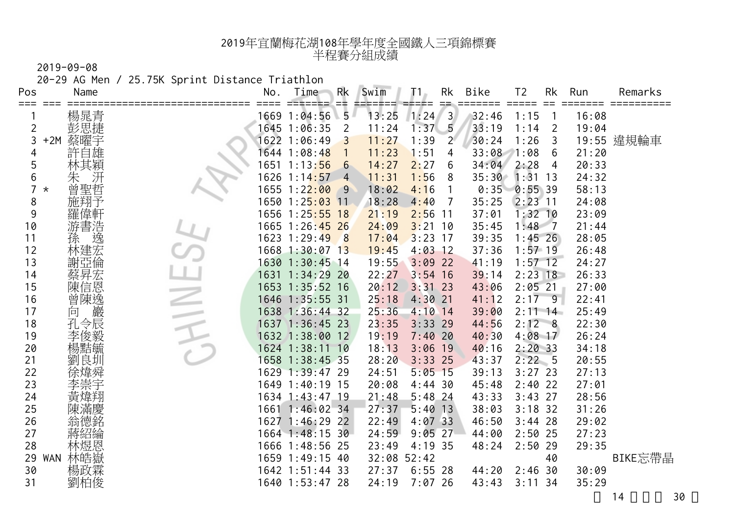20-29 AG Men / 25.75K Sprint Distance Triathlon

| Pos<br>⋍⋍⋍     | Name              | No.  | Time                           | Rk<br>≕        | Swim        | T 1.      | Rk             | Bike  | T <sub>2</sub> | Rk             | Run   | Remarks    |
|----------------|-------------------|------|--------------------------------|----------------|-------------|-----------|----------------|-------|----------------|----------------|-------|------------|
|                |                   |      | 1669 1:04:56                   | 5              | 13:25       | 1:24      | $\overline{3}$ | 32:46 | 1:15           |                | 16:08 |            |
| $\overline{c}$ | 楊晁青               |      | 1645 1:06:35                   | $\overline{2}$ | 11:24       | 1:37      | $-5$           | 33:19 | 1:14           | $\overline{2}$ | 19:04 |            |
| 3              | 蔡曜宇<br>$+2M$      |      | 1622 1:06:49                   | 3              | 11:27       | 1:39      | $2^{\circ}$    | 30:24 | 1:26           | 3              |       | 19:55 違規輪車 |
| 4              |                   |      | 1644 1:08:48                   | $\mathbf{1}$   | 11:23       | 1:51      | 4              | 33:08 | 1:08           | 6              | 21:20 |            |
| 5              | :穎                | 1651 | 1:13:56                        | $6\phantom{1}$ | 14:27       | 2:27      | 6              | 34:04 | 2:28           | 4              | 20:33 |            |
| 6              | 汧<br>朱            | 1626 | 1:14:57                        | $-4$           | 11:31       | 1:56      | 8              | 35:30 | 1:31           | 13             | 24:32 |            |
| 7              | 曾聖哲<br>$^\star$   | 1655 | 1:22:00                        | 9              | 18:02       | 4:16      | $\overline{1}$ | 0:35  | 0:5539         |                | 58:13 |            |
| 8              | 施翔予               |      | 1650 1:2 <mark>5:03 1</mark> 1 |                | 18:28       | 4:40      | -7             | 35:25 | $2:23$ 11      |                | 24:08 |            |
| 9              | 羅偉軒               | 1656 | $1:25:55$ 18                   |                | 21:19       | 2:56      | -11            | 37:01 | $1:32$ 10      |                | 23:09 |            |
| 10             | 游書浩               |      | 1665 1:26:45 26                |                | 24:09       | $3:21$ 10 |                | 35:45 | $1:48$ 7       |                | 21:44 |            |
| 11             | 逸<br>孫            |      | 1623 1:29:49                   | 8              | 17:04       | 3:23      | 17             | 39:35 | $1:45$ 26      |                | 28:05 |            |
| 12             | 林建宏               |      | 1668 1:30:07 13                |                | 19:45       | $4:03$ 12 |                | 37:36 | $1:57$ 19      |                | 26:48 |            |
| 13             | 亞倫<br>謝           | 1630 | $1:30:45$ 14                   |                | 19:55       | 3:09      | 22             | 41:19 | $1:57$ 12      |                | 24:27 |            |
| 14             | 蔡昇宏               | 1631 | $1:34:29$ 20                   |                | 22:27       | $3:54$ 16 |                | 39:14 | $2:23$ 18      |                | 26:33 |            |
| 15             | 陳信恩               | 1653 | $1:35:52$ 16                   |                | 20:12       | 3:31      | 23             | 43:06 | $2:05$ 21      |                | 27:00 |            |
| 16             | 曾陳逸               |      | 1646 1:35:55 31                |                | 25:18       | 4:30      | -21            | 41:12 | 2:17           | 9              | 22:41 |            |
| 17             | 巖<br>向            |      | 1638 1:36:44 32                |                | 25:36       | $4:10$ 14 |                | 39:00 | $2:11 \; 14$   |                | 25:49 |            |
| 18             | 孔令辰               |      | 1637 1:36:45 23                |                | 23:35       | 3:33      | 29             | 44:56 | $2:12 \ 8$     |                | 22:30 |            |
| 19             |                   |      | 1632 1:38:00 12                |                | 19:19       | 7:40      | 20             | 40:30 | $4:08$ 17      |                | 26:24 |            |
| 20             | 楊黠毓               |      | 1624 1:38:11 10                |                | 18:13       | 3:06      | 19             | 40:16 | 2:2033         |                | 34:18 |            |
| 21             | 劉良圳               | 1658 | $1:38:45$ 35                   |                | 28:20       | $3:33$ 25 |                | 43:37 | 2:22 5         |                | 20:55 |            |
| 22             | 徐煒舜               |      | 1629 1:39:47 29                |                | 24:51       | 5:05      | $-15$          | 39:13 | $3:27$ 23      |                | 27:13 |            |
| 23             |                   |      | 1649 1:40:19 15                |                | 20:08       | 4:44      | -30            | 45:48 | $2:40$ 22      |                | 27:01 |            |
| 24             | 黃煒翔               |      | 1634 1:43:47 19                |                | 21:48       | 5:48      | -24            | 43:33 | $3:43$ 27      |                | 28:56 |            |
| 25             | 陳滿慶               |      | 1661 1:46:02 34                |                | 27:37       | 5:40      | 13             | 38:03 | $3:18$ 32      |                | 31:26 |            |
| 26             | 翁德銘               |      | 1627 1:46:29 22                |                | 22:49       | $4:07$ 33 |                | 46:50 | $3:44$ 28      |                | 29:02 |            |
| 27             | 蔣紹綸               |      | 1664 1:48:15 30                |                | 24:59       | 9:05      | 27             | 44:00 | $2:50$ 25      |                | 27:23 |            |
| 28             | 林煜恩               |      | 1666 1:48:56 25                |                | 23:49       | $4:19$ 35 |                | 48:24 | $2:50$ 29      |                | 29:35 |            |
| 29             | 林皓嶽<br><b>WAN</b> |      | 1659 1:49:15 40                |                | 32:08 52:42 |           |                |       |                | 40             |       | BIKE忘帶晶    |
| 30             | 楊政霖               |      | 1642 1:51:44 33                |                | 27:37       | $6:55$ 28 |                | 44:20 | 2:46           | 30             | 30:09 |            |
| 31             | 劉柏俊               |      | 1640 1:53:47 28                |                | 24:19       | $7:07$ 26 |                | 43:43 | $3:11$ 34      |                | 35:29 |            |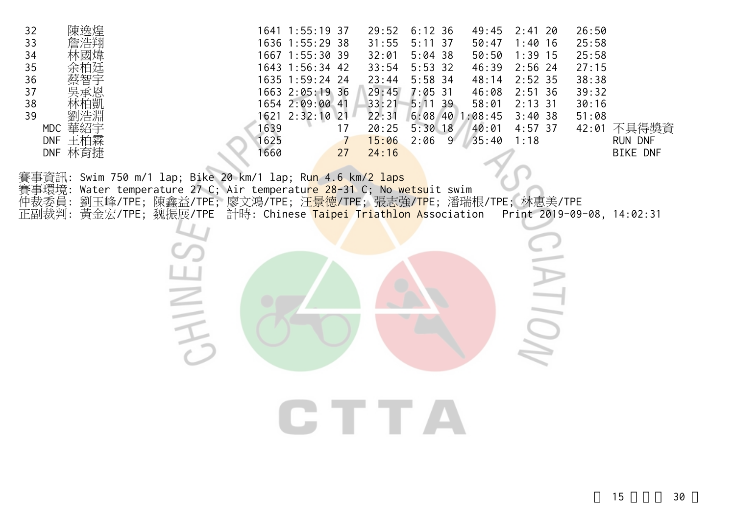| 32<br>陳逸焊<br>33<br>34<br>35<br>36<br>37<br>38<br>39<br>MDC 華紹宇<br>DNF 王柏霖<br>DNF 林育捷 | 1641 1:55:19 37<br>29:52<br>$6:12$ 36<br>49:45<br>$2:41$ 20<br>26:50<br>1636 1:55:29 38<br>31:55<br>$1:40$ 16<br>25:58<br>$5:11$ 37<br>50:47<br>1667 1:55:30 39<br>$5:04$ 38<br>50:50<br>$1:39$ 15<br>25:58<br>32:01<br>33:54<br>$2:56$ 24<br>27:15<br>1643 1:56:34 42<br>$5:53$ 32<br>46:39<br>$5:58$ 34<br>1635 1:59:24 24<br>23:44<br>48:14<br>$2:52$ 35<br>38:38<br>1663 2:05:19 36<br>29:45<br>$2:51$ 36<br>$7:05$ 31<br>46:08<br>39:32<br>1654 2:09:00 41<br>33:21<br>$5:11$ 39<br>58:01<br>$2:13$ 31<br>30:16<br>1621 2:32:10 21<br>22:31<br>3:40.38<br>$6:08$ 40 1:08:45<br>51:08<br>1639<br>42:01 不具得獎資<br>$5:30$ 18<br>40:01<br>$4:57$ 37<br>20:25<br>17<br>1625<br>15:06<br>2:06<br>35:40<br>1:18<br>$\overline{U}$<br>9<br>RUN DNF<br>1660<br>24:16<br><b>BIKE DNF</b><br>27 |
|--------------------------------------------------------------------------------------|------------------------------------------------------------------------------------------------------------------------------------------------------------------------------------------------------------------------------------------------------------------------------------------------------------------------------------------------------------------------------------------------------------------------------------------------------------------------------------------------------------------------------------------------------------------------------------------------------------------------------------------------------------------------------------------------------------------------------------------------------------------------------------------|
| 賽事環境:<br>仲裁委員:<br>正副裁判:                                                              | 事資訊: Swim 750 m/1 lap; Bike 20 km/1 lap; Ru <mark>n 4.6 km/2 laps</mark><br>Water temperature 27 C; Air temperature 28-31 C; No wetsuit swim<br>劉玉峰/TPE; 陳鑫益/TPE; 廖文鴻/TPE; 汪 <mark>景德/TPE;</mark> 張志強/ <mark>TP</mark> E; 潘瑞根/TPE; 林惠美/TPE<br>黃金宏/TPE; 魏振展/TPE 計時: Chinese Taipei Triathlon Association Print 2019-09-08, 14:02:31                                                                                                                                                                                                                                                                                                                                                                                                                                                       |
|                                                                                      | CTTTA                                                                                                                                                                                                                                                                                                                                                                                                                                                                                                                                                                                                                                                                                                                                                                                    |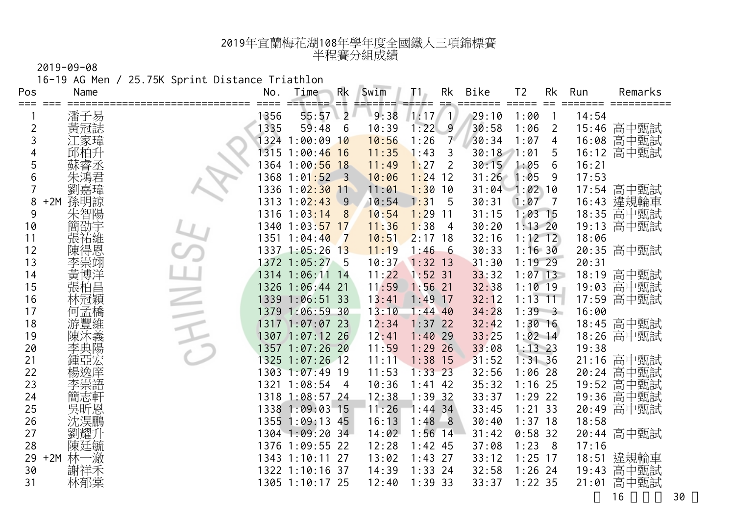16-19 AG Men / 25.75K Sprint Distance Triathlon

| Pos            | Name         | No.  | Time             | Rk                        | Swim  | T 1.      | Rk<br>$=$ $=$  | Bike  | T <sub>2</sub>    | Rk             | Run   | Remarks    |
|----------------|--------------|------|------------------|---------------------------|-------|-----------|----------------|-------|-------------------|----------------|-------|------------|
|                |              | 1356 | 55:57            | ≕<br>$\overline{2}$       | 9:38  | 1:17      | $\overline{1}$ | 29:10 | 1:00              |                | 14:54 |            |
| $\overline{c}$ | 潘子易<br>黄冠誌   | 1335 | 59:48            | 6                         | 10:39 | 1:22      | 9              | 30:58 | 1:06              | $\overline{2}$ | 15:46 | 高中甄試       |
| 3              | [家瑋          | 1324 | $1:00:09$ 10     |                           | 10:56 | 1:26      | $7^{\circ}$    | 30:34 | 1:07              | 4              | 16:08 | 高中甄試       |
| 4              |              |      | 1315 1:00:46 16  |                           | 11:35 | 1:43      | 3              | 30:18 | 1:01              | 5              | 16:12 | 高中甄試       |
| 5              |              |      | 1364 1:00:56 18  |                           | 11:49 | 1:27      | 2              | 30:15 | 1:05              | 6              | 16:21 |            |
| 6              | 朱鴻君          | 1368 | 1:01:52          | $\overline{\phantom{0}3}$ | 10:06 | 1:24      | 12             | 31:26 | 1:05              | 9              | 17:53 |            |
| 7              | 劉嘉瑋          | 1336 | $1:02:30$ 11     |                           | 11:01 | 1:30      | 10             |       | $31:04$ $1:02$ 10 |                | 17:54 | 高中甄試       |
| 8              | 孫明諒<br>$+2M$ |      | $1313$ $1:02:43$ | $\overline{9}$            | 10:54 | 1:31      | 5              | 30:31 | 1:07              | $\overline{7}$ | 16:43 | 違規輪車       |
| 9              | 朱智陽          |      | $1316$ $1:03:14$ | 8                         | 10:54 | 1:29      | 11             | 31:15 | $1:03$ 15         |                |       | 18:35 高中甄試 |
| 10             | 簡劭宇          |      | 1340 1:03:57 17  |                           | 11:36 | 1:38      | $\overline{4}$ | 30:20 | $1:13$ 20         |                | 19:13 | 高中甄試       |
| 11             | 張祐維          | 1351 | 1:04:40          | $\overline{7}$            | 10:51 | $2:17$ 18 |                | 32:16 | $1:12$ 12         |                | 18:06 |            |
| 12             | 得恩           |      | 1337 1:05:26 13  |                           | 11:19 | 1:46      | $-6$           | 30:33 | 1:16.30           |                |       | 20:35 高中甄試 |
| 13             |              |      | 1372 1:05:27 5   |                           | 10:37 | $1:32$ 13 |                | 31:30 | $1:19$ 29         |                | 20:31 |            |
| 14             | 黃博洋          |      | 1314 1:06:11 14  |                           | 11:22 | $1:52$ 31 |                | 33:32 | $1:07$ 13         |                | 18:19 | 高中甄試       |
| 15             | 張柏昌          |      | 1326 1:06:44 21  |                           | 11:59 | 1:56      | 21             | 32:38 | $1:10$ 19         |                | 19:03 | 高中甄試       |
| 16             | 林冠穎          |      | 1339 1:06:51 33  |                           | 13:41 | 1:49      | <sup>17</sup>  | 32:12 | $1:13$ 11         |                | 17:59 | 高中甄試       |
| 17             | 孟橋           |      | 1379 1:06:59 30  |                           | 13:10 | $1:44$ 40 |                | 34:28 | $1:39$ 3          |                | 16:00 |            |
| 18             | 游豐維          |      | 1317 1:07:07 23  |                           | 12:34 | $1:37$ 22 |                | 32:42 | $1:30$ 16         |                |       | 18:45 高中甄試 |
| 19             |              | 1307 | $1:07:12$ 26     |                           | 12:41 | $1:40$ 29 |                | 33:25 | $1:02$ 14         |                | 18:26 | 高中甄試       |
| 20             |              |      | 1357 1:07:26 20  |                           | 11:59 | $1:29$ 26 |                | 33:08 | $1:13$ 23         |                | 19:38 |            |
| 21             |              |      | 1325 1:07:26 12  |                           | 11:11 | 1:38      | 15             | 31:52 | 1:31.36           |                | 21:16 | 高中甄試       |
| 22             | 楊逸庠          |      | 1303 1:07:49 19  |                           | 11:53 | $1:33$ 23 |                | 32:56 | $1:06$ 28         |                | 20:24 | 高中甄試       |
| 23             |              | 1321 | 1:08:54          | $\overline{4}$            | 10:36 | 1:41      | -42            | 35:32 | $1:16$ 25         |                | 19:52 | 高中甄試       |
| 24             | 簡志軒          |      | 1318 1:08:57 24  |                           | 12:38 | 1:39.32   |                | 33:37 | $1:29$ 22         |                | 19:36 | 高中甄試       |
| 25             | 吳昕恩          |      | 1338 1:09:03 15  |                           | 11:26 | $1:44$ 34 |                | 33:45 | $1:21$ 33         |                | 20:49 | 高中甄試       |
| 26             | 沈淏鵬          |      | 1355 1:09:13 45  |                           | 16:13 | 1:48      | $^{\circ}8$    | 30:40 | $1:37$ 18         |                | 18:58 |            |
| 27             |              |      | 1304 1:09:20 34  |                           | 14:02 | 1:56      | 14             | 31:42 | $0:58$ 32         |                |       | 20:44 高中甄試 |
| 28             | 陳廷毓          |      | 1376 1:09:55 22  |                           | 12:28 | $1:42$ 45 |                | 37:08 | 1:23              | 8              | 17:16 |            |
| 29             | 林一澈<br>$+2M$ |      | 1343 1:10:11 27  |                           | 13:02 | 1:43      | 27             | 33:12 | $1:25$ 17         |                | 18:51 | 違規輪車       |
| 30             | 謝祥禾          |      | 1322 1:10:16 37  |                           | 14:39 | $1:33$ 24 |                | 32:58 | $1:26$ 24         |                | 19:43 | 高中甄試       |
| 31             | 林郁棠          |      | 1305 1:10:17 25  |                           | 12:40 | 1:39.33   |                | 33:37 | $1:22$ 35         |                | 21:01 | 高中甄試       |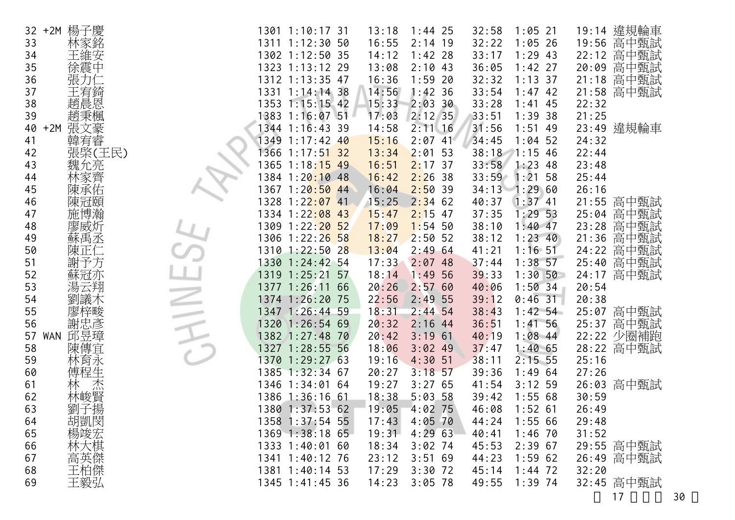| 楊子慶<br>$32 + 2M$        |      | 1301 1:10:17 31                | 13:18 | $1:44$ 25 | 32:58         | $1:05$ 21  | 19:14 | 違規輪車       |
|-------------------------|------|--------------------------------|-------|-----------|---------------|------------|-------|------------|
| 林家銘<br>33               |      | 1311 1:12:30 50                | 16:55 | $2:14$ 19 | 32:22         | $1:05$ 26  | 19:56 | 高中甄試       |
| 34                      |      | 1302 1:12:50 35                | 14:12 | $1:42$ 28 | 33:17         | $1:29$ 43  | 22:12 | 高中甄試       |
| 徐震中<br>35               |      | 1323 1:13:12 29                | 13:08 | $2:10$ 43 | 36:05         | $1:42$ 27  | 20:09 | 高中甄試       |
| 36<br>張力仁               |      | 1312 1:13:35 47                | 16:36 | $1:59$ 20 | 32:32         | $1:13$ 37  | 21:18 | 高中甄試       |
| 王宥錡<br>37               |      | 1331 1:14:14 38                | 14:56 | 1:42.36   | 33:54         | $1:47$ 42  | 21:58 | 高中甄試       |
| 趙晨恩<br>38               |      | 1353 1:15:15 42                | 15:33 | 2:03.30   | 33:28         | $1:41$ 45  | 22:32 |            |
| 趙秉楓<br>39               |      | 1383 1:16:07 51                | 17:03 | $2:12$ 35 | 33:51         | 1:39.38    | 21:25 |            |
| $+2M$<br>張文豪<br>40      |      | 1344 1:16:43 39                | 14:58 | $2:11$ 16 | 31:56         | $1:51$ 49  |       | 23:49 違規輪車 |
| 韓宥睿<br>41               |      | 1349 1:17:42 40                | 15:16 | $2:07$ 41 | 34:45         | $1:04$ 52  | 24:32 |            |
| 張棨(王民)<br>42            |      | 1366 1:17:51 32                | 13:34 | $2:01$ 53 | 38:18 1:15 46 |            | 22:44 |            |
| 魏允亮<br>43               |      | 1365 1:18:15 49                | 16:51 | $2:17$ 37 | 33:58         | $1:23$ 48  | 23:48 |            |
| 林家齊<br>44               |      | 1384 1:20:10 48                | 16:42 | $2:26$ 38 | 33:59         | $1:21$ 58  | 25:44 |            |
| 陳承佑<br>45               |      | 1367 1:20:50 44                | 16:04 | 2:50.39   | 34:13 1:29 60 |            | 26:16 |            |
| 陳冠頤<br>46               |      | 1328 1:2 <mark>2:07 4</mark> 1 | 15:25 | $2:34$ 62 | 40:37         | $1:37$ 41  | 21:55 | 高中甄試       |
| 47                      |      | 1334 1:22:08 43                | 15:47 | $2:15$ 47 | 37:35         | 1:2953     | 25:04 | 高中甄試       |
| 廖威炘<br>48               |      | 1309 1:22:20 52                | 17:09 | $1:54$ 50 | 38:10         | $1:40$ 47  | 23:28 | 高中甄試       |
| 蘇禹丞<br>49               |      | 1306 1:22:26 58                | 18:27 | $2:50$ 52 | 38:12         | $1:23$ 40  | 21:36 | 高中甄試       |
| 50<br>陳正仁               |      | 1310 1:22:50 28                | 13:04 | 2:4964    | 41:21         | $1:16$ 51  | 24:22 | 高中甄試       |
| 予方<br>51<br>謝           |      | 1330 1:24:42 54                | 17:33 | $2:07$ 48 | 37:44         | $1:38$ 57  | 25:40 | 高中甄試       |
| 52<br>蘇冠亦               |      | 1319 1:25:21 57                | 18:14 | 1:49.56   | 39:33         | $1:30$ 50  | 24:17 | 高中甄試       |
| ·云翔<br>53               |      | 1377 1:26:11 66                | 20:26 | 2:5760    | 40:06         | 1:50.34    | 20:54 |            |
| 劉議木<br>54               |      | 1374 1:26:20 75                | 22:56 | $2:49$ 55 | 39:12         | $0:46$ 31  | 20:38 |            |
| 55                      |      | 1347 1:26:44 59                | 18:31 | $2:44$ 54 | 38:43         | $1:42\;54$ |       | 25:07 高中甄試 |
| 忠彦<br>56<br>謝           |      | 1320 1:26:54 69                | 20:32 | $2:16$ 44 | 36:51         | $1:41$ 56  |       | 25:37 高中甄試 |
| 邱昱璋<br>57<br><b>WAN</b> |      | 1382 1:27:48 70                | 20:42 | $3:19$ 61 | 40:19         | $1:08$ 44  |       | 22:22 少圈補跑 |
| 陳傳宜<br>58               | 1327 | 1:28:5555                      | 18:06 | $3:02$ 49 | 37:47         | 1:4065     | 28:22 | 高中甄試       |
| 林育永<br>59               |      | 1370 1:29:27 63                | 19:16 | $4:30$ 51 | 38:11         | $2:15$ 55  | 25:16 |            |
| 傅程生<br>60               |      | 1385 1:32:34 67                | 20:27 | $3:18$ 57 | 39:36         | 1:4964     | 27:26 |            |
| 杰<br>61                 |      | 1346 1:34:01 64                | 19:27 | 3:2765    | 41:54         | $3:12$ 59  |       | 26:03 高中甄試 |
| 林峻賢<br>62               |      | 1386 1:36:16 61                | 18:38 | $5:03$ 58 | 39:42         | 1:5568     | 30:59 |            |
| 劉子揚<br>63               |      | 1380 1:37:53 62                | 19:05 | $4:02$ 75 | 46:08         | $1:52$ 61  | 26:49 |            |
| 胡凱閔<br>64               |      | 1358 1:37:54 55                | 17:43 | $4:05$ 70 | 44:24         | 1:5566     | 29:48 |            |
| 楊竣宏<br>65               |      | 1369 1:38:18 65                | 19:31 | 4:2963    | 40:41         | $1:46$ 70  | 31:52 |            |
| 林大棋<br>66               |      | 1333 1:40:01 60                | 18:34 | $3:02$ 74 | 45:53         | $2:39$ 67  |       | 29:55 高中甄試 |
| 67                      |      | 1341 1:40:12 76                | 23:12 | 3:5169    | 44:23         | 1:5962     |       | 26:49 高中甄試 |
| 王柏傑<br>68               |      | 1381 1:40:14 53                | 17:29 | $3:30$ 72 | 45:14         | $1:44$ 72  | 32:20 |            |
| 王毅弘<br>69               |      | 1345 1:41:45 36                | 14:23 | $3:05$ 78 | 49:55         | $1:39$ 74  |       | 32:45 高中甄試 |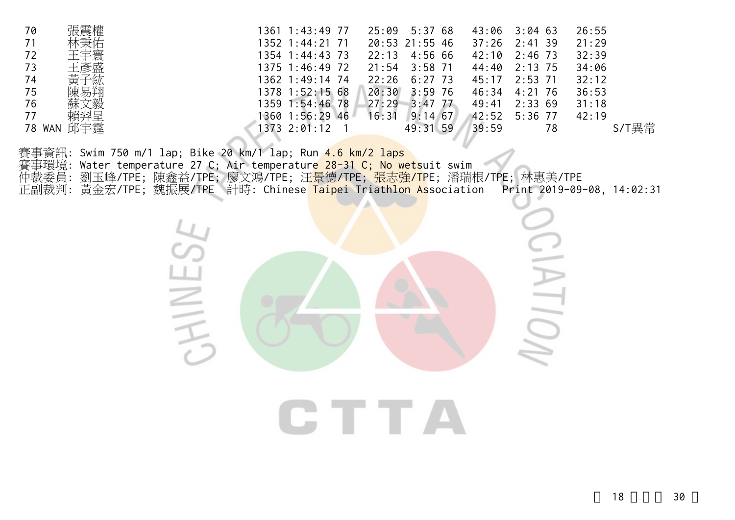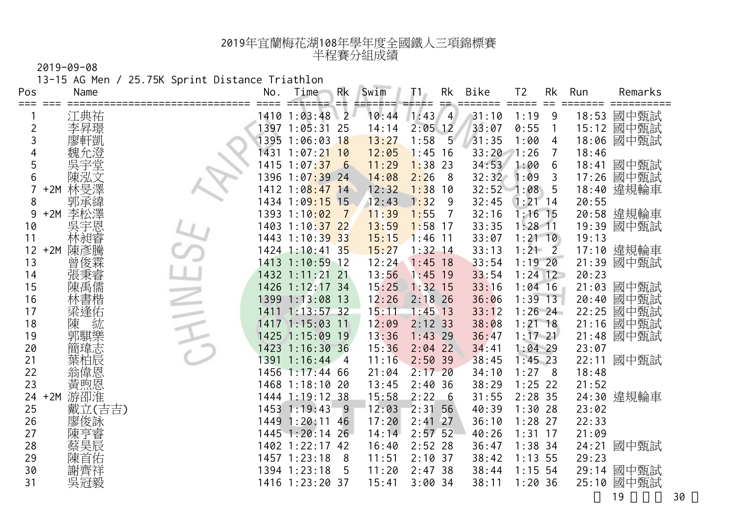13-15 AG Men / 25.75K Sprint Distance Triathlon

| Pos            | Name         | No.  | Time                          | <b>Rk</b><br>≕ | Swim  | Τ1        | Rk<br>$=$      | Bike  | T <sub>2</sub> | Rk             | Run   | Remarks    |
|----------------|--------------|------|-------------------------------|----------------|-------|-----------|----------------|-------|----------------|----------------|-------|------------|
|                | 江典祐          |      | 1410 1:03:48 2                |                | 10:44 | 1:43      | $\overline{4}$ | 31:10 | 1:19           | 9              | 18:53 | 國中甄試       |
| $\overline{c}$ | 李昇璟          |      | 1397 1:05:31 25               |                | 14:14 | $2:05$ 12 |                | 33:07 | 0:55           | $\mathbf{1}$   |       | 15:12 國中甄試 |
| 3              | 廖軒凱          | 1395 | $1:06:03$ 18                  |                | 13:27 | 1:58      | $5^{\circ}$    | 31:35 | 1:00           | 4              | 18:06 | 國中甄試       |
| 4              |              | 1431 | $1:07:21$ 10                  |                | 12:05 | 1:45      | 16             | 33:20 | 1:26           |                | 18:46 |            |
| 5              |              |      | 1415 1:07:37 6                |                | 11:29 | 1:38      | 23             | 34:53 | 1:00           | 6              | 18:41 | 國中甄試       |
| 6              | 陳泓文          |      | 1396 1:07 <mark>:39 24</mark> |                | 14:08 | 2:26      | -8             | 32:32 | 1:09           | 3              | 17:26 | 國中甄試       |
|                | 林旻澤<br>$+2M$ | 1412 | $1:08:47$ 14                  |                | 12:32 | 1:38      | 10             | 32:52 | 1:08           | 5              | 18:40 | 違規輪車       |
| 8              | 郭承緯          |      | 1434 1:09:15 15               |                | 12:43 | 1:32      | 9              | 32:45 | $1:21$ 14      |                | 20:55 |            |
| 9              | 李松澤<br>$+2M$ |      | 1393 1:10:02                  | $\overline{7}$ | 11:39 | 1:55      | $\overline{7}$ | 32:16 | $1:16$ 15      |                |       | 20:58 違規輪車 |
| 10             | 吳宇恩          |      | 1403 1:10:37 22               |                | 13:59 | $1:58$ 17 |                | 33:35 | $1:28$ 11      |                |       | 19:39 國中甄試 |
| 11             | 林昶睿          | 1443 | $1:10:39$ 33                  |                | 15:15 | 1:46      | 11             | 33:07 | $1:21$ 10      |                | 19:13 |            |
| 12             | $+2M$<br>陳彥騰 |      | 1424 1:10:41 35               |                | 15:27 | $1:32$ 14 |                | 33:13 | 1:21           | $\overline{2}$ |       | 17:10 違規輪車 |
| 13             | 曾俊霖          |      | 1413 1:10:59 12               |                | 12:24 | 1:45      | 18             | 33:54 | $1:19$ 20      |                | 21:39 | 國中甄試       |
| 14             | 張秉睿          |      | 1432 1:11:21 21               |                | 13:56 | 1:45      | 19             | 33:54 | $1:24$ 12      |                | 20:23 |            |
| 15             | 陳禹儒          |      | 1426 1:12:17 34               |                | 15:25 | $1:32$ 15 |                | 33:16 | $1:04$ 16      |                | 21:03 | 國中甄試       |
| 16             | 林書楷          |      | 1399 1:13:08 13               |                | 12:26 | $2:18$ 26 |                | 36:06 | $1:39$ 13      |                | 20:40 | 國中甄試       |
| 17             | 梁逢佑          |      | 1411 1:13:57 32               |                | 15:11 | $1:45$ 13 |                | 33:12 | $1:26$ 24      |                | 22:25 | 國中甄試       |
| 18             | 紘<br>陳       |      | 1417 1:15:03 11               |                | 12:09 | $2:12$ 33 |                | 38:08 | $1:21$ 18      |                | 21:16 | 國中甄試       |
| 19             | 郭騏樂          |      | 1425 1:15:09 19               |                | 13:36 | 1:43      | 29             | 36:47 | $1:17$ 21      |                | 21:48 | 國中甄試       |
| 20             | 簡瑋志          | 1423 | 1:16:30.36                    |                | 15:36 | $2:04$ 22 |                | 34:41 | $1:04$ 29      |                | 23:07 |            |
| 21             | 葉柏辰          | 1391 | $1:16:44$ 4                   |                | 11:16 | 2:50      | 39             | 38:45 | $1:45$ 23      |                | 22:11 | 國中甄試       |
| 22             | <b>翁偉恩</b>   | 1456 | $1:17:44$ 66                  |                | 21:04 | 2:17      | 20             | 34:10 | 1:27           | 8              | 18:48 |            |
| 23             |              |      | 1468 1:18:10 20               |                | 13:45 | 2:40      | 36             | 38:29 | $1:25$ 22      |                | 21:52 |            |
| 24             | 游卲淮<br>$+2M$ |      | 1444 1:19:12 38               |                | 15:58 | 2:22      | $-6$           | 31:55 | $2:28$ 35      |                |       | 24:30 違規輪車 |
| 25             | 戴立(吉吉)       |      | 1453 1:19:43                  | $-9$           | 12:03 | 2:31      | 56             | 40:39 | $1:30$ 28      |                | 23:02 |            |
| 26             | 廖俊詠          |      | 1449 1:20:11 46               |                | 17:20 | 2:41      | 27             | 36:10 | $1:28$ 27      |                | 22:33 |            |
| 27             | 亨睿           |      | 1445 1:20:14 26               |                | 14:14 | $2:57$ 52 |                | 40:26 | $1:31$ 17      |                | 21:09 |            |
| 28             | 蔡昊辰          |      | 1402 1:22:17 42               |                | 16:40 | 2:52      | 28             | 36:47 | $1:38$ 34      |                | 24:21 | 國中甄試       |
| 29             | 陳首佑          |      | $1457$ $1:23:18$              | 8              | 11:51 | 2:10      | 37             | 38:42 | $1:13$ 55      |                | 29:23 |            |
| 30             | 謝齊祥          |      | 1394 1:23:18                  | 5              | 11:20 | 2:47      | -38            | 38:44 | $1:15$ 54      |                | 29:14 | 國中甄試       |
| 31             | 吳冠毅          |      | 1416 1:23:20 37               |                | 15:41 | 3:0034    |                | 38:11 | 1:20.36        |                |       | 25:10 國中甄試 |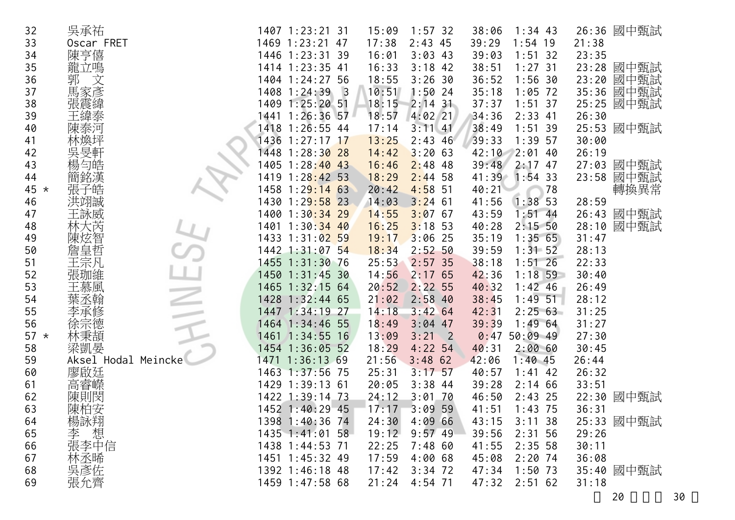| 26:36 國中甄試<br>21:38<br>23:35<br>23:28<br>國中甄試<br>國中甄試<br>23:20<br>國中甄試<br>35:36<br>國中甄試<br>25:25<br>26:30<br>國中甄試<br>25:53<br>30:00 |
|-------------------------------------------------------------------------------------------------------------------------------------|
|                                                                                                                                     |
|                                                                                                                                     |
|                                                                                                                                     |
|                                                                                                                                     |
|                                                                                                                                     |
|                                                                                                                                     |
|                                                                                                                                     |
|                                                                                                                                     |
|                                                                                                                                     |
| 26:19                                                                                                                               |
| 國中甄試<br>27:03                                                                                                                       |
| 國中甄試<br>23:58                                                                                                                       |
| 轉換異常                                                                                                                                |
| 28:59                                                                                                                               |
| 國中甄試<br>26:43                                                                                                                       |
| 國中甄試<br>28:10                                                                                                                       |
| 31:47                                                                                                                               |
| 28:13                                                                                                                               |
| 22:33                                                                                                                               |
| 30:40                                                                                                                               |
| 26:49                                                                                                                               |
| 28:12                                                                                                                               |
| 31:25                                                                                                                               |
| 31:27                                                                                                                               |
| 27:30                                                                                                                               |
| 30:45                                                                                                                               |
|                                                                                                                                     |
| 26:32                                                                                                                               |
|                                                                                                                                     |
| 國中甄試<br>22:30                                                                                                                       |
|                                                                                                                                     |
| 25:33 國中甄試                                                                                                                          |
| 29:26                                                                                                                               |
|                                                                                                                                     |
|                                                                                                                                     |
| 35:40 國中甄試                                                                                                                          |
|                                                                                                                                     |
| 26:44<br>33:51<br>36:31<br>30:11<br>36:08                                                                                           |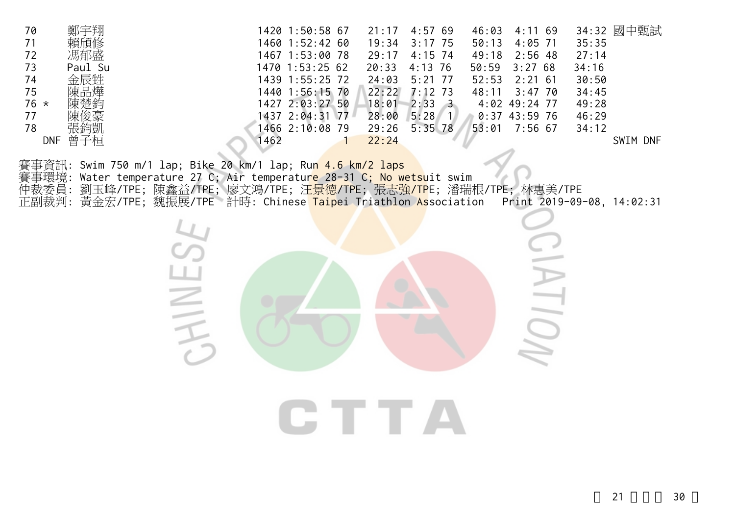| 4:02 49:24 77<br>1427 2:03:27 50<br>18:01<br>$2:33 \t3$<br>76 $\star$<br>49:28<br>陳楚鈞<br>$5:28$ 1<br>1437 2:04:31 77<br>0:37 43:59 76<br>77<br>28:00<br>46:29<br>陳俊豪<br>張鈞凱<br>78<br>1466 2:10:08 79<br>29:26<br>$5:35$ 78<br>53:01<br>$7:56$ 67<br>34:12<br>DNF 曾子桓<br>1462<br>22:24<br>SWIM DNF                                                                         |  |
|---------------------------------------------------------------------------------------------------------------------------------------------------------------------------------------------------------------------------------------------------------------------------------------------------------------------------------------------------------------------------|--|
| 賽事資訊: Swim 750 m/1 lap; Bike 20 km/1 lap; Run 4.6 km/2 laps<br>Water temperature 27 C; Air temperature 28-31 C; No wetsuit swim<br>賽事環境:<br>仲裁委員:<br>劉玉峰/TPE; 陳鑫益/TPE; 廖文鴻/TPE; 汪 <mark>景德/TP</mark> E; 張志強 <mark>/TP</mark> E; 潘瑞根/TPE; 林惠美/TPE<br>黃金宏/TPE; 魏振展/TPE 計時: Chinese Taipei Triathlon Association<br>正副裁判:<br>Print 2019-09-08, 14:02:31<br>$\equiv$<br>CTTTA |  |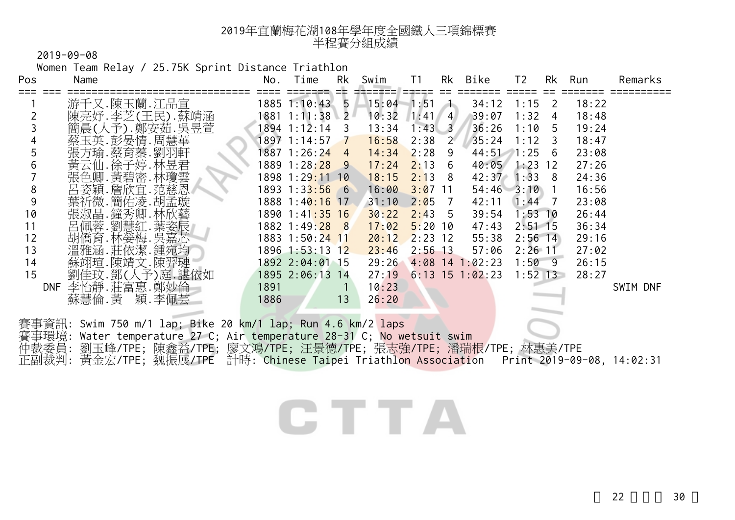2019-09-08

 Women Team Relay / 25.75K Sprint Distance Triathlon Pos Name No. Time Rk Swim T1 Rk Bike T2 Rk Run Remarks === === ============================== ==== ======= == ======= ===== == ======= ===== == ======= ========== <sup>1</sup>游千又.陳玉蘭.江品宣 1885 1:10:43 5 15:04 1:51 1 34:12 1:15 2 18:22 <sup>2</sup>陳亮妤.李芝(王民).蘇靖涵 1881 1:11:38 2 10:32 1:41 4 39:07 1:32 4 18:48 <sup>3</sup>簡晨(人予).鄭安茹.吳昱萱 1894 1:12:14 3 13:34 1:43 3 36:26 1:10 5 19:24 4 蔡玉英.彭晏情.周慧華 1897 1:14:57 <mark>\_7 \_\_16:58</mark> \_2:38 \_2 \_\_35:24 \_1:12 \_3 \_\_18:47<br>5 張方瑜.蔡育蓁.劉羽軒 1887 1:26:2<mark>4 \_4 \_\_14:34 \_</mark>2:28 \_9 \_\_\_44:51 \_1:25 \_6 \_\_23:08 5 張方瑜.蔡育蓁.劉羽軒 1887 1:26:2<mark>4 4 14:34</mark> 2:28 9 44:51 1:25 6 23:08<br>6 黃云仙.徐子婷.林昱君 1889 1:28<mark>:28 9 17:24 2:</mark>13 6 40:05 1:23 12 27:26 <sup>6</sup>黃云仙.徐子婷.林昱君 1889 1:28:28 9 17:24 2:13 6 40:05 1:23 12 27:26 7 張色卿. 黃碧密. 林瓊雲 1898 1:29<mark>:11 10 18:15 2:1</mark>3 8 42:37 1:33 8 24:36 8 呂姿穎.詹欣官.范慈恩 1893 1:33:56 6 16:00 3:07 11 54:46 3:10 1 16:56 9 葉祈微.簡佑凌.胡孟璇 1888 1:4<mark>0:16 17 31:10 2:0</mark>5 7 42:11 1:44 7 23:08 10 張淑晶.鐘秀卿.林欣藝 1890 1:41<mark>:35 16 30:22 2:4</mark>3 5 39:54 1:53 10 26:44<br>11 呂佩蓉.劉慧紅.葉姿辰 1882 1:49:28 8 17:02 5:20 10 47:43 2:51 15 36:34 <sup>11</sup>呂佩蓉.劉慧紅.葉姿辰 1882 1:49:28 8 17:02 5:20 10 47:43 2:51 15 36:34 12 胡僑育.林嫈梅.吳嘉芯 1883 1:50:24 11 20:12 2:23 12 55:38 2:56 14 29:16 <sup>13</sup>溫雅涵.莊依潔.鍾宛均 1896 1:53:13 12 23:46 2:56 13 57:06 2:26 11 27:02 <sup>14</sup>蘇翊瑄.陳靖文.陳羿璉 1892 2:04:01 15 29:26 4:08 14 1:02:23 1:50 9 26:15 <sup>15</sup>劉佳玟.鄧(人予)庭.諶依如 1895 2:06:13 14 27:19 6:13 15 1:02:23 1:52 13 28:27 DNF 李怡靜.莊富惠.鄭妙倫 1891 1 10:23 SWIM DNF<br>蘇慧倫.黃 穎.李佩芸 1886 13 26:20 穎. 李佩芸 1886 13 26:20 賽事資訊: Swim 750 m/1 lap; Bike 20 km/1 lap; Run 4.6 km/2 laps

賽事環境: Water temperature 27 C; Air temperature 28-31 C; No wetsuit swim 仲裁委員: 劉玉峰/TPE; 陳鑫益/TPE; 廖文鴻/TPE; 汪景德/TPE; 張志強/TPE; 潘瑞根/TPE; 林惠美/TPE 正副裁判: 黃金宏/TPE; 魏振展/TPE 計時: Chinese Taipei Triathlon Association Print 2019-09-08, 14:02:31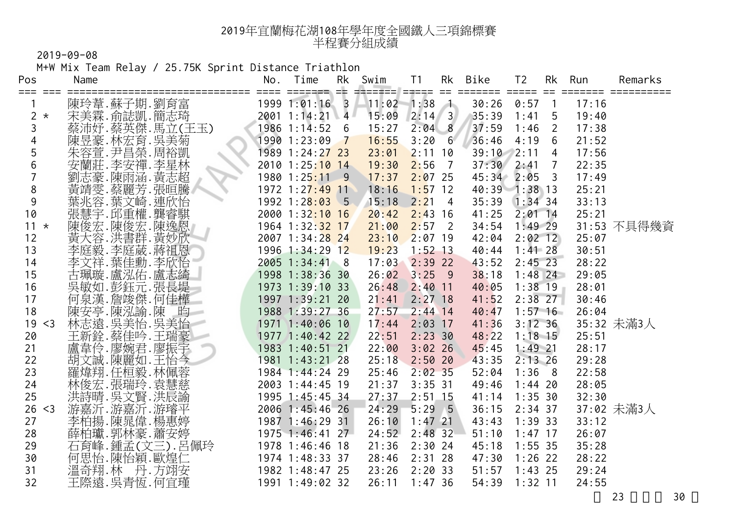M+W Mix Team Relay / 25.75K Sprint Distance Triathlon

| Pos          | Name                          | No.<br>==== | Time<br>ssesses et | Rk | Swim<br>⊐≡==≡== | T <sub>1</sub><br>===== | Rk<br>$==$     | Bike<br>===== | T <sub>2</sub><br>$=$ $=$ $=$ $=$ $=$ | Rk<br>$==$              | Run   | Remarks     |
|--------------|-------------------------------|-------------|--------------------|----|-----------------|-------------------------|----------------|---------------|---------------------------------------|-------------------------|-------|-------------|
|              | 陳玲葦.蘇子期.劉育富                   |             | 1999 1:01:16 3     |    | 11:02           | $1:38$ 1                |                | 30:26         | 0:57                                  | $\overline{1}$          | 17:16 |             |
| 2<br>$\star$ | 宋美霖.俞誌凱.簡志琦                   |             | 2001 1:14:21 4     |    | 15:09           | $2:14$ 3                |                | 35:39         | 1:41                                  | 5                       | 19:40 |             |
| 3            | 蔡沛妤.蔡英傑.馬立(王玉)<br>陳昱豪.林宏育.吳美菊 |             | 1986 1:14:52 6     |    | 15:27           | $2:04$ 8                |                | 37:59         | 1:46                                  | $\overline{2}$          | 17:38 |             |
| 4            |                               |             | 1990 1:23:09 7     |    | 16:55           | 3:20                    | 6              | 36:46         | 4:19                                  | 6                       | 21:52 |             |
| 5            | 朱容萱.尹昌榮.周裕凱                   |             | 1989 1:24:27 23    |    | 23:01           | $2:11$ 10               |                | 39:10         | 2:11                                  | $\overline{4}$          | 17:56 |             |
| 6            | 安蘭莊. 李安禪. 李星林                 |             | 2010 1:25:10 14    |    | 19:30           | 2:56                    | $\overline{7}$ | 37:30         | 2:41                                  | $\overline{7}$          | 22:35 |             |
|              | 劉志豪.陳雨涵.黃志超                   |             | 1980 1:25:11 9     |    | 17:37           | $2:07$ 25               |                | $45:34$ 2:05  |                                       | $\overline{\mathbf{3}}$ | 17:49 |             |
| 8            | 黃靖雯.蔡麗芳.張晅騰<br>葉兆容.葉文崎.連欣怡    |             | 1972 1:27:49 11    |    | 18:16           | $1:57$ 12               |                | 40:39 1:38 13 |                                       |                         | 25:21 |             |
| 9            |                               |             | 1992 1:28:03 5     |    | 15:18           | 2:21                    | $\overline{4}$ | 35:39         | $1:34$ 34                             |                         | 33:13 |             |
| 10           | 張慧宇.邱重權.龔睿騏                   |             | 2000 1:32:10 16    |    | 20:42           | $2:43$ 16               |                | 41:25         | $2:01$ 14                             |                         | 25:21 |             |
| $11 \times$  | 陳俊宏.陳俊宏.陳逸恩                   |             | 1964 1:32:32 17    |    | 21:00           | 2:57                    | $\overline{2}$ | 34:54         | $1:49$ 29                             |                         |       | 31:53 不具得幾資 |
| 12           | 黃大容.洪書群.黃妙欣                   |             | 2007 1:34:28 24    |    | 23:10           | $2:07$ 19               |                | 42:04         | $2:02$ 12                             |                         | 25:07 |             |
| 13           | 李庭毅.李庭葳.蔣祖恩<br>李文祥.葉佳勳.李欣怡    |             | 1996 1:34:29 12    |    | 19:23           | $1:52$ 13               |                | 40:44         | $1:41$ 28                             |                         | 30:51 |             |
| 14           |                               |             | 2005 1:34:41 8     |    | 17:03           | $2:39$ 22               |                | 43:52         | $2:45$ 23                             |                         | 28:22 |             |
| 15           | 古珮璇.盧泓佑.盧志綺                   |             | 1998 1:38:36 30    |    | 26:02           | $3:25$ 9                |                | 38:18         | $1:48$ 24                             |                         | 29:05 |             |
| 16           | 吳敏如.彭鈺元.張長堤                   |             | 1973 1:39:10 33    |    | 26:48           | $2:40$ 11               |                | 40:05         | $1:38$ 19                             |                         | 28:01 |             |
| 17           | 何泉漢.詹竣傑.何佳樺                   |             | 1997 1:39:21 20    |    | 21:41           | $2:27$ 18               |                | 41:52         | $2:38$ 27                             |                         | 30:46 |             |
| 18           | 陳安亭.陳泓諭.陳<br>昀                |             | 1988 1:39:27 36    |    | 27:57           | $2:44$ 14               |                | 40:47         | $1:57$ 16                             |                         | 26:04 |             |
| 19<br>$<$ 3  |                               |             | 1971 1:40:06 10    |    | 17:44           | $2:03$ 17               |                | 41:36         | 3:12:36                               |                         |       | 35:32 未滿3人  |
| 20           | 林志遠.吳美怡.吳美怡<br>王新銓.蔡佳吟.王瑞豪    |             | 1977 1:40:42 22    |    | 22:51           | 2:23.30                 |                | 48:22         | $1:18$ 15                             |                         | 25:51 |             |
| 21           | 盧韋伶.廖婉君.廖振宇                   |             | 1983 1:40:51 21    |    | 22:00           | $3:02$ 26               |                | 45:45         | $1:49$ 21                             |                         | 28:17 |             |
| 22           | 胡文誠.陳麗如.王怡今                   |             | 1981 1:43:21 28    |    | 25:18           | 2:5020                  |                | 43:35         | $2:13$ 26                             |                         | 29:28 |             |
| 23           | 羅煒翔.任桓毅.林佩蓉                   |             | 1984 1:44:24 29    |    | 25:46           | $2:02$ 35               |                | 52:04         | 1:36 8                                |                         | 22:58 |             |
| 24           | 林俊宏.張瑞玲.袁慧慈                   |             | 2003 1:44:45 19    |    | 21:37           | $3:35$ 31               |                | 49:46         | $1:44$ 20                             |                         | 28:05 |             |
| 25           | 洪詩晴. 吳文賢. 洪辰諭                 |             | 1995 1:45:45 34    |    | 27:37           | $2:51$ 15               |                | 41:14         | 1:35.30                               |                         | 32:30 |             |
| 26<br>$<$ 3  | 游嘉沂.游嘉沂.游璿平                   |             | 2006 1:45:46 26    |    | 24:29           | $5:29$ 5                |                | 36:15         | $2:34$ 37                             |                         |       | 37:02 未滿3人  |
| 27           | 李柏揚.陳晁偉.楊惠婷                   |             | 1987 1:46:29 31    |    | 26:10           | $1:47$ 21               |                | 43:43         | 1:39.33                               |                         | 33:12 |             |
| 28           | 薛柏瓛.郭林豪.蕭安婷                   |             | 1975 1:46:41 27    |    | 24:52           | $2:48$ 32               |                | 51:10         | $1:47$ 17                             |                         | 26:07 |             |
| 29           | 石育峰.鍾孟(文三).呂佩玲                |             | 1978 1:46:46 18    |    | 21:36           | $2:30$ 24               |                | 45:18         | $1:55$ 35                             |                         | 35:28 |             |
| 30           | 何思怡.陳怡穎.歐煌仁                   |             | 1974 1:48:33 37    |    | 28:46           | $2:31$ 28               |                | 47:30         | $1:26$ 22                             |                         | 28:22 |             |
| 31           | 溫奇翔.林 丹.方翊安                   |             | 1982 1:48:47 25    |    | 23:26           | 2:2033                  |                | 51:57         | $1:43$ 25                             |                         | 29:24 |             |
| 32           | 王際遠.吳青恆.何宜瑾                   |             | 1991 1:49:02 32    |    | 26:11           | 1:47,36                 |                | 54:39         | $1:32$ 11                             |                         | 24:55 |             |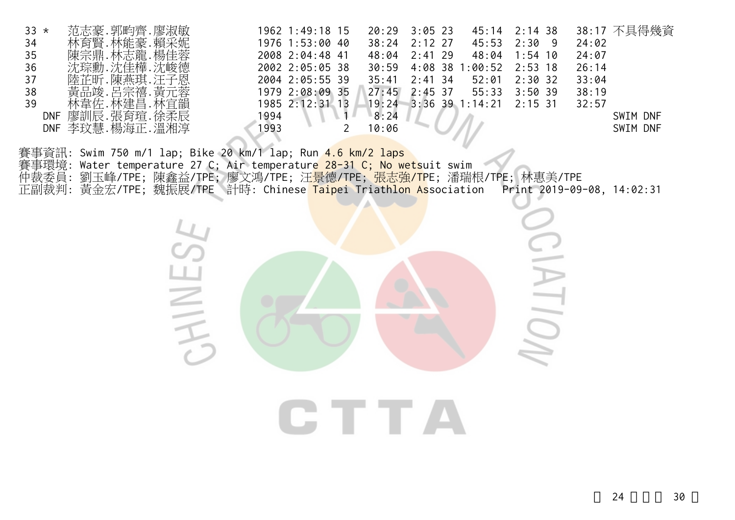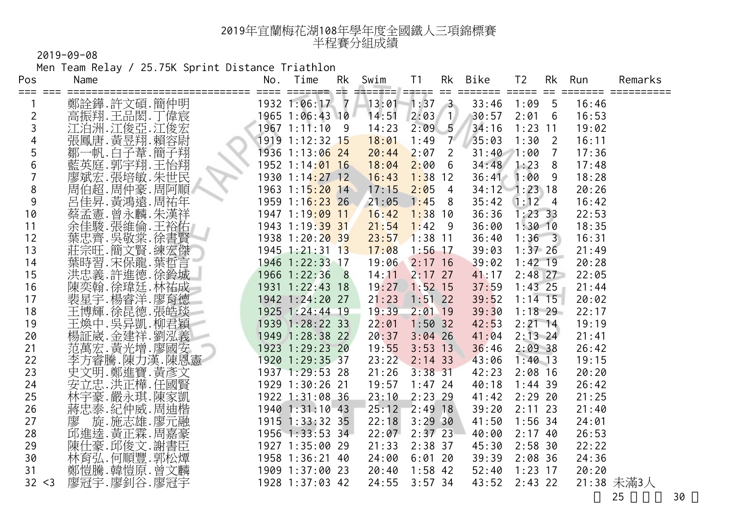Men Team Relay / 25.75K Sprint Distance Triathlon

| Pos    | Name                                                   | No.  | Time                          | Rk | Swim          | T <sub>1</sub> | Rk             | Bike            | T <sub>2</sub> | Rk | Run            | Remarks    |
|--------|--------------------------------------------------------|------|-------------------------------|----|---------------|----------------|----------------|-----------------|----------------|----|----------------|------------|
|        | 鄭詮鏵.許文碩.簡仲明                                            | ==== | eessaan ebi<br>1932 1:06:17 7 |    | $=$<br>13:01  | $1:37 \quad 3$ |                | 33:46           | 1:09           | 5  | =====<br>16:46 |            |
| 2      | 高振翔.王品閎.丁偉宸                                            |      | 1965 1:06:43 10               |    | 14:51         | $2:03$ 1       |                | 30:57           | 2:01           | 6  | 16:53          |            |
| 3      |                                                        |      | $1967$ 1:11:10 9              |    | 14:23         | 2:09           | 5 <sub>1</sub> | 34:16           | $1:23$ 11      |    | 19:02          |            |
| 4      | 江泊洲.江俊亞.江俊宏<br>張鳳唐.黃昱翔.賴容尉                             |      | 1919 1:12:32 15               |    | 18:01         | 1:49           | 7 <sup>7</sup> | 35:03           | $1:30$ 2       |    | 16:11          |            |
| 5      | 鄒一帆.白子葦.簡子翔                                            |      | 1936 1:13:06 24               |    | 20:44         | 2:07           | $\overline{2}$ | $31:40$ $1:00$  |                | 7  | 17:36          |            |
| 6      | 藍英庭.郭宇翔.王怡翔                                            |      | 1952 1:14:01 16               |    | 18:04         | $2:00$ 6       |                | 34:48           | 1:23           | 8  | 17:48          |            |
|        | 廖斌宏.張培敏.朱世民                                            |      | 1930 1:14:27 12               |    | 16:43         | $1:38$ 12      |                | 36:41           | 1:00           | 9  | 18:28          |            |
| 8      | 周伯超.周仲豪.周阿順                                            |      | 1963 1:15:20 14               |    | 17:15         | $2:05$ 4       |                | $34:12$ 1:23 18 |                |    | 20:26          |            |
| 9      | 呂佳昇 黃鴻遠 周祐年                                            |      | 1959 1:16:23 26               |    | 21:05         | $1:45$ 8       |                | 35:42           | $1:12 \quad 4$ |    | 16:42          |            |
| 10     | 蔡孟憲. 曾永麟. 朱漢祥                                          |      | 1947 1:19:09 11               |    | 16:42         | $1:38$ 10      |                | 36:36           | 1:23.33        |    | 22:53          |            |
| 11     | 余佳駿.張維倫.王裕佑                                            |      | 1943 1:19:39 31               |    | 21:54         | $1:42$ 9       |                | 36:00           | $1:30$ 10      |    | 18:35          |            |
| 12     | 葉忠齊.吳敬棠.徐書賢                                            |      | 1938 1:20:20 39               |    | 23:57         | $1:38$ 11      |                | 36:40           | $1:36 \quad 3$ |    | 16:31          |            |
| 13     | 莊宗旺.簡文賢.練宏傑                                            |      | 1945 1:21:31 13               |    | 17:08         | $1:56$ 17      |                | 39:03           | $1:37$ 26      |    | 21:49          |            |
| 14     | 葉時習.宋保龍.葉哲言                                            |      | 1946 1:22:33 17               |    | 19:06 2:17 16 |                |                | 39:02           | $1:42$ 19      |    | 20:28          |            |
| 15     | 洪忠義.許進德.徐鈴城                                            |      | 1966 1:22:36 8                |    | 14:11         | $2:17$ 27      |                | 41:17           | $2:48$ 27      |    | 22:05          |            |
| 16     | 陳奕翰.徐瑋廷.林祐成                                            |      | 1931 1:22:43 18               |    | 19:27         | $1:52$ 15      |                | 37:59           | $1:43$ 25      |    | 21:44          |            |
| 17     | 裴星宇.楊睿洋.廖育德                                            |      | 1942 1:24:20 27               |    | 21:23         | $1:51$ 22      |                | 39:52           | $1:14$ 15      |    | 20:02          |            |
| 18     | 王博輝.徐昆德.張皓琰                                            |      | 1925 1:24:44 19               |    | 19:39         | $2:01$ 19      |                | 39:30           | $1:18$ 29      |    | 22:17          |            |
| 19     | 王煥中,吳异凱,柳君穎                                            |      | 1939 1:28:22 33               |    | 22:01         | $1:50$ 32      |                | 42:53           | $2:21$ 14      |    | 19:19          |            |
| 20     | 楊証崴.金建祥.劉泓義<br>范萬宏.黃光增.廖國安<br>$\overline{\phantom{a}}$ |      | 1949 1:28:38 22               |    | 20:37         | $3:04$ 26      |                | 41:04           | $2:13$ 24      |    | 21:41          |            |
| 21     |                                                        |      | 1923 1:29:23 20               |    | 19:55         | $3:53$ 13      |                | 36:46           | 2:0938         |    | 26:42          |            |
| 22     | 李方睿騰.陳力漢.陳恩憲                                           |      | 1920 1:29:35 37               |    | 23:22         | $2:14$ 33      |                | 43:06           | $1:40$ 13      |    | 19:15          |            |
| 23     | 史文明.鄭進寶.黃彥文                                            |      | 1937 1:29:53 28               |    | 21:26         | $3:38$ 31      |                | 42:23           | $2:08$ 16      |    | 20:20          |            |
| 24     | 安立忠.洪正樺.任國賢                                            |      | 1929 1:30:26 21               |    | 19:57         | $1:47$ 24      |                | 40:18           | $1:44$ 39      |    | 26:42          |            |
| 25     | 林宇豪. 嚴永琪. 陳家凱                                          |      | 1922 1:31:08 36               |    | 23:10         | $2:23$ 29      |                | 41:42           | $2:29$ 20      |    | 21:25          |            |
| 26     | 蔣忠泰.紀仲威.周迪楷                                            |      | 1940 1:31:10 43               |    | 25:12         | $2:49$ 18      |                | 39:20           | $2:11$ 23      |    | 21:40          |            |
| 27     | 旋.施志雄.廖元融<br>廖                                         |      | 1915 1:33:32 35               |    | 22:18         | 3:29.30        |                | 41:50           | $1:56$ 34      |    | 24:01          |            |
| 28     | 邱進達.黃正霖.周嘉豪                                            |      | 1956 1:33:53 34               |    | 22:07         | $2:37$ 23      |                | 40:00           | 2:1740         |    | 26:53          |            |
| 29     | 陳仕豪.邱俊文.謝書臣<br>林育弘.何順豐.郭松燂                             |      | 1927 1:35:00 29               |    | 21:33         | $2:38$ 37      |                | 45:30           | $2:58$ 30      |    | 22:22          |            |
| 30     |                                                        |      | 1958 1:36:21 40               |    | 24:00         | 6:0120         |                | 39:39           | $2:08$ 36      |    | 24:36          |            |
| 31     | 鄭愷騰.韓愷原.曾文麟                                            |      | 1909 1:37:00 23               |    | 20:40         | $1:58$ 42      |                | 52:40           | $1:23$ 17      |    | 20:20          |            |
| 32 < 3 | 廖冠宇.廖釗谷.廖冠宇                                            |      | 1928 1:37:03 42               |    | 24:55         | $3:57$ 34      |                | 43:52           | $2:43$ 22      |    |                | 21:38 未滿3人 |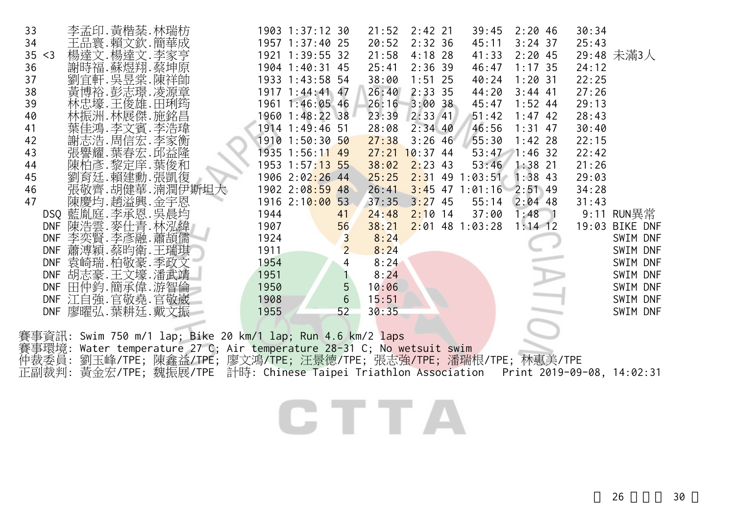| 33     | 李孟印. 黃楷棻. 林瑞枋     |                                                                                            |      | 1903 1:37:12 30 |                | 21:52 | $2:42$ 21        | 39:45                     | 2:2046    | 30:34 |                |
|--------|-------------------|--------------------------------------------------------------------------------------------|------|-----------------|----------------|-------|------------------|---------------------------|-----------|-------|----------------|
| 34     | 王品寰.賴文欽.簡華成       |                                                                                            |      | 1957 1:37:40 25 |                | 20:52 | $2:32$ 36        | 45:11                     | $3:24$ 37 | 25:43 |                |
| 35 < 3 | 楊達文.楊達文.李家亨       |                                                                                            |      | 1921 1:39:55 32 |                | 21:58 | $4:18$ 28        | 41:33                     | 2:2045    |       | 29:48 未滿3人     |
| 36     | 謝時福.蘇煜翔.蔡坤原       |                                                                                            |      | 1904 1:40:31 45 |                | 25:41 | $2:36$ 39        | 46:47                     | 1:17.35   | 24:12 |                |
| 37     | 劉宜軒. 吳昱棠. 陳祥帥     |                                                                                            |      | 1933 1:43:58 54 |                | 38:00 | $1:51$ 25        | 40:24                     | $1:20$ 31 | 22:25 |                |
| 38     | 黃博裕.彭志璟.凌源章       |                                                                                            |      | 1917 1:44:41 47 |                | 26:40 | $2:33$ 35        | 44:20                     | $3:44$ 41 | 27:26 |                |
| 39     | 林忠壕.王俊雄.田琍筠       |                                                                                            |      | 1961 1:46:05 46 |                | 26:16 | 3:0038           | 45:47                     | $1:52$ 44 | 29:13 |                |
| 40     | 林振洲.林展傑.施銘昌       |                                                                                            |      | 1960 1:48:22 38 |                | 23:39 | $2:33$ 41        | 51:42                     | $1:47$ 42 | 28:43 |                |
| 41     | 葉佳鴻.李文賓.李浩瑋       |                                                                                            |      | 1914 1:49:46 51 |                | 28:08 | $2:34$ 40        | 46:56                     | $1:31$ 47 | 30:40 |                |
| 42     | 謝志浩. 周信宏. 李家衡     |                                                                                            |      | 1910 1:50:30 50 |                | 27:38 | $3:26$ 46        | 55:30                     | $1:42$ 28 | 22:15 |                |
| 43     | 張譽耀.葉春宏.邱益隆       |                                                                                            |      | 1935 1:56:11 49 |                |       | $27:21$ 10:37 44 | $53:47$ 1:46 32           |           | 22:42 |                |
| 44     | 陳柏彥.黎定庠.葉俊和       |                                                                                            |      | 1953 1:57:13 55 |                |       | $38:02$ 2:23 43  | 53:46                     | $1:38$ 21 | 21:26 |                |
| 45     | 劉育廷.賴建勳.張凱復       |                                                                                            |      | 1906 2:02:26 44 |                | 25:25 |                  | $2:31$ 49 1:03:51         | $1:38$ 43 | 29:03 |                |
| 46     | 張敬齊.胡健華. 湳潤伊斯坦大   |                                                                                            |      | 1902 2:08:59 48 |                | 26:41 |                  | $3:45$ 47 1:01:16 2:51 49 |           | 34:28 |                |
| 47     | 陳慶均.趙溢興.金宇恩       |                                                                                            |      | 1916 2:10:00 53 |                | 37:35 | $3:27$ 45        | 55:14 2:04 48             |           | 31:43 |                |
|        | DSQ 藍胤庭.李承恩.吳晨均   |                                                                                            | 1944 |                 | 41             | 24:48 | $2:10$ 14        | 37:00                     | $1:48$ 1  |       | 9:11 RUN異常     |
|        | DNF 陳浩雲.麥仕青.林泓緯   |                                                                                            | 1907 |                 | 56             | 38:21 |                  | $2:01$ 48 1:03:28         | $1:14$ 12 |       | 19:03 BIKE DNF |
|        | DNF 李奕賢. 李彥融. 蕭頡儒 |                                                                                            | 1924 |                 | $\overline{3}$ | 8:24  |                  |                           |           |       | SWIM DNF       |
|        | DNF 蕭溥穎.蔡昀衛.王瑞琪   |                                                                                            | 1911 |                 | $\overline{2}$ | 8:24  |                  |                           |           |       | SWIM DNF       |
|        | DNF 袁崎瑞.柏敬豪.季政文   |                                                                                            | 1954 |                 | $\overline{4}$ | 8:24  |                  |                           |           |       | SWIM DNF       |
|        | DNF 胡志豪.王文壕.潘武靖   |                                                                                            | 1951 |                 |                | 8:24  |                  |                           |           |       | SWIM DNF       |
|        | DNF 田仲鈞.簡承偉.游智倫   |                                                                                            | 1950 |                 | 5              | 10:06 |                  |                           |           |       | SWIM DNF       |
|        | DNF 江自強.官敬堯.官敬崴   |                                                                                            | 1908 |                 | $6\phantom{1}$ | 15:51 |                  |                           |           |       | SWIM DNF       |
|        | DNF 廖曜弘.葉耕廷.戴文振   |                                                                                            | 1955 |                 | 52             | 30:35 |                  |                           |           |       | SWIM DNF       |
|        |                   |                                                                                            |      |                 |                |       |                  |                           |           |       |                |
|        |                   | 賽事資訊: Swim 750 m/1 lap; Bike 20 km/1 lap; Run 4.6 km/2 laps                                |      |                 |                |       |                  |                           |           |       |                |
| 賽事環境:  |                   | Water temperature 27 C; Air temperature 28-31 C; No wetsuit swim                           |      |                 |                |       |                  |                           |           |       |                |
|        |                   | 仲裁委員: 劉玉峰/TPE; 陳鑫益/TPE; 廖文鴻/TPE; 汪景德/TPE; 張志強/TPE; 潘瑞根/TPE; 林惠美/TPE                        |      |                 |                |       |                  |                           |           |       |                |
|        |                   | 正副裁判: 黃金宏/TPE; 魏振展/TPE 計時: Chinese Taipei Triathlon Association Print 2019-09-08, 14:02:31 |      |                 |                |       |                  |                           |           |       |                |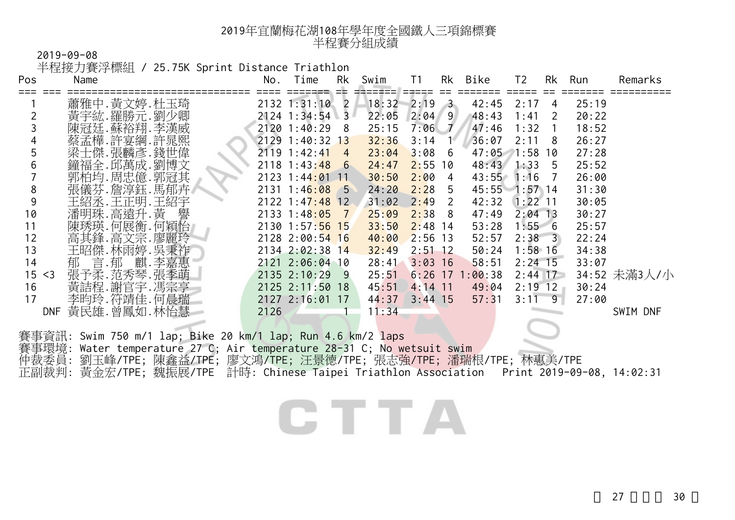半程接力賽浮標組 / 25.75K Sprint Distance Triathlon

| Pos            | <b>□□□→ヘノ→ <del>へ</del> →</b> レハヅユ<br>Name                                                 | No.<br>==== | Time<br>======= ==                | Rk | Swim           | T1<br>=====      |      | Rk Bike           | T <sub>2</sub> | Rk             | Run            | Remarks      |
|----------------|--------------------------------------------------------------------------------------------|-------------|-----------------------------------|----|----------------|------------------|------|-------------------|----------------|----------------|----------------|--------------|
|                | 蕭雅中.黃文婷.杜玉琦                                                                                |             | 2132 1:31:10 2                    |    | 18:32          | $2:19$ 3         |      | 42:45             | 2:17           | 4              | 25:19          |              |
| 2              | 黃宇紘.羅勝元.劉少卿                                                                                |             | $2124$ 1:34:54 3                  |    | 22:05          | $2:04$ 9         |      | 48:43             | 1:41<br>1:32   | 2              | 20:22          |              |
| 3<br>4         | 陳冠廷.蘇裕翔.李漢威<br>蔡孟樺.許宴綱.許晁熙                                                                 |             | 2120 1:40:29 8<br>2129 1:40:32 13 |    | 25:15<br>32:36 | $7:06$ 7<br>3:14 | - 14 | 47:46<br>36:07    | $2:11 \ 8$     | $\overline{1}$ | 18:52<br>26:27 |              |
| 5              | 梁士傑.張麟彥.錢世偉                                                                                |             | 2119 1:42:41 4                    |    | 23:04          | $3:08$ 6         |      | 47:05 1:58 10     |                |                | 27:28          |              |
| $6\,$          | 鐘福全.邱萬成.劉博文                                                                                |             | $2118$ 1:43:48 6                  |    | 24:47          | $2:55$ 10        |      | 48:43             | $1:33$ 5       |                | 25:52          |              |
| $\overline{7}$ | 郭柏均.周忠億.郭冠其                                                                                |             | 2123 1:44:01 11                   |    | 30:50          | 2:004            |      | 43:55 1:16 7      |                |                | 26:00          |              |
| 8              | 張儀芬.詹淳鈺.馬郁卉                                                                                |             | $2131$ 1:46:08 5                  |    | 24:20          | $2:28$ 5         |      | 45:55 1:57 14     |                |                | 31:30          |              |
| 9              | 王紹丞.王正明.王紹宇                                                                                |             | 2122 1:47:48 12                   |    | 31:02          | $2:49$ 2         |      | 42:32 1:22 11     |                |                | 30:05          |              |
| 10             | 潘明珠.高遠升.黃 譽                                                                                |             | $2133$ 1:48:05 7                  |    | 25:09          | $2:38$ 8         |      | 47:49             | $2:04$ 13      |                | 30:27          |              |
| 11             | 陳琇瑛.何展衡.何穎怡                                                                                |             | 2130 1:57:56 15                   |    | 33:50          | $2:48$ 14        |      | 53:28             | 1:556          |                | 25:57          |              |
| 12             | 高其鋒.高文宗.廖麗玲                                                                                |             | 2128 2:00:54 16                   |    | 40:00          | $2:56$ 13        |      | 52:57             | $2:38 \ 3$     |                | 22:24          |              |
| 13             | 王昭傑.林雨婷.吳秉祚                                                                                |             | 2134 2:02:38 14                   |    | 32:49          | $2:51$ 12        |      | 50:24             | $1:58$ 16      |                | 34:38          |              |
| 14             | 言.郁 麒.李嘉惠<br>郁                                                                             |             | 2121 2:06:04 10                   |    | 28:41          | $3:03$ 16        |      | 58:51             | $2:24$ 15      |                | 33:07          |              |
| 15 < 3         | 張予柔.范秀琴.張季萌                                                                                |             | 2135 2:10:29 9                    |    | 25:51          |                  |      | $6:26$ 17 1:00:38 | $2:44$ 17      |                |                | 34:52 未滿3人/小 |
| 16             | 黃詰程. 謝官宇. 馮宗亨                                                                              |             | 2125 2:11:50 18                   |    | 45:51          | $4:14$ 11        |      | 49:04             | $2:19$ 12      |                | 30:24          |              |
| 17             | 李昀玲.符靖佳.何晨瑞                                                                                |             | 2127 2:16:01 17                   |    | 44:37          | $3:44$ 15        |      | 57:31             | $3:11 \ 9$     |                | 27:00          |              |
|                | DNF 黃民雄.曾鳳如.林怡慧                                                                            | 2126        |                                   |    | 11:34          |                  |      |                   |                |                |                | SWIM DNF     |
|                | 賽事資訊: Swim 750 m/1 lap; Bike 20 km/1 lap; Run 4.6 km/2 laps                                |             |                                   |    |                |                  |      |                   |                |                |                |              |
|                | 賽事環境: Water temperature 27 C; Air temperature 28-31 C; No wetsuit swim                     |             |                                   |    |                |                  |      |                   |                |                |                |              |
|                | 仲裁委員: 劉玉峰/TPE; 陳鑫益/TPE; 廖文鴻/TPE; 汪景德/TPE; 張志強/TPE; 潘瑞根/TPE; 林惠美/TPE                        |             |                                   |    |                |                  |      |                   |                |                |                |              |
|                | 正副裁判: 黃金宏/TPE; 魏振展/TPE 計時: Chinese Taipei Triathlon Association Print 2019-09-08, 14:02:31 |             |                                   |    |                |                  |      |                   |                |                |                |              |
|                |                                                                                            |             |                                   |    |                |                  |      |                   |                |                |                |              |
|                |                                                                                            |             |                                   |    |                |                  |      |                   |                |                |                |              |
|                |                                                                                            |             |                                   |    |                |                  |      |                   |                |                |                |              |
|                |                                                                                            |             |                                   |    |                |                  |      |                   |                |                |                |              |
|                |                                                                                            |             |                                   |    |                |                  |      |                   |                |                |                |              |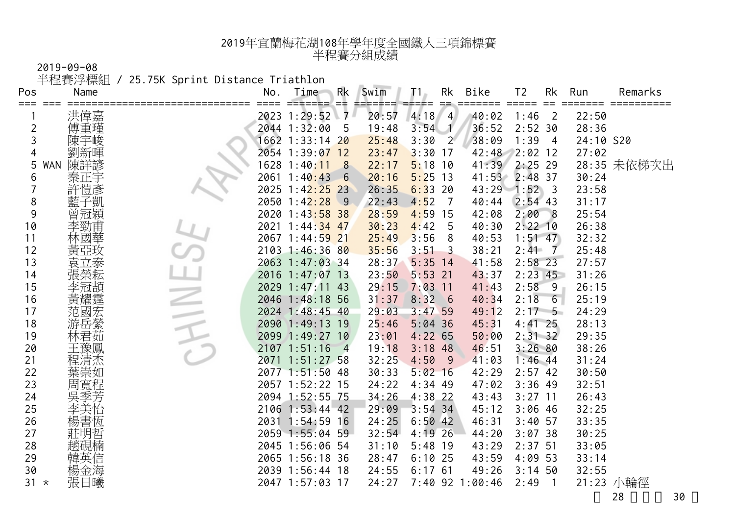半程賽浮標組 / 25.75K Sprint Distance Triathlon

| Pos<br>≕≕≕     | Name           | No.  | Time                          | Rk<br>==       | Swim  | Τ1.       | Rk<br>$=$      | Bike            | T2             | Rk                      | Run<br>==== | Remarks     |
|----------------|----------------|------|-------------------------------|----------------|-------|-----------|----------------|-----------------|----------------|-------------------------|-------------|-------------|
|                |                |      | 2023 1:29:52                  | 7<br>x         | 20:57 | 4:18      | $\overline{4}$ | 40:02           | 1:46           | $\overline{2}$          | 22:50       |             |
| $\overline{c}$ | 洪偉嘉<br>傅重瑾     |      | 2044 1:32:00                  | -5             | 19:48 | 3:54      | $\mathcal{N}$  | 36:52           | 2:52.30        |                         | 28:36       |             |
| 3              | 陳宇峻            |      | 1662 1:33:14 2 <mark>0</mark> |                | 25:48 | 3:30      | $2^{\circ}$    | 38:09           | 1:39           | 4                       | 24:10 S20   |             |
| 4              |                |      | 2054 1:39:07 12               |                | 23:47 | 3:30      | 17             | 42:48           | 2:02 12        |                         | 27:02       |             |
| 5              | 陳詳諺<br>WAN     |      | 1628 1:40 <mark>:11</mark>    | 8              | 22:17 | 5:18      | 10             | 41:39           | $2:25$ 29      |                         |             | 28:35 未依梯次出 |
| 6              | 秦正宇            | 2061 | 1:40:43                       | $-6$           | 20:16 | 5:25      | 13             | 41:53           | $2:48$ 37      |                         | 30:24       |             |
|                | 許愷彥            | 2025 | $1:42:25$ 23                  |                | 26:35 | 6:33      | 20             | $43:29$ 1:52    |                | $\overline{\mathbf{3}}$ | 23:58       |             |
| 8              | 子凱             | 2050 | 1:42:28                       | $\overline{9}$ | 22:43 | 4:52      | - 7            | 40:44           | $2:54$ 43      |                         | 31:17       |             |
| 9              | 曾冠穎            |      | 2020 1:43:58 38               |                | 28:59 | 4:59      | 15             | 42:08           | 2:00           | 8                       | 25:54       |             |
| 10             | 李勁甫            | 2021 | $1:44:34$ 47                  |                | 30:23 | 4:42      | 5              | 40:30           | $2:22$ 10      |                         | 26:38       |             |
| 11             | 林國華            |      | 2067 1:44:59 21               |                | 25:49 | 3:56      | 8              | 40:53           | $1:51$ 47      |                         | 32:32       |             |
| 12             | 亞玫             |      | 2103 1:46:36 80               |                | 35:56 | 3:51      | 3              | 38:21           | 2:41           | $\overline{7}$          | 25:48       |             |
| 13             | 袁立泰            |      | 2063 1:47:03 34               |                | 28:37 | 5:35      | 14             | 41:58           | $2:58$ 23      |                         | 27:57       |             |
| 14             | 張榮耘            |      | 2016 1:47:07 13               |                | 23:50 | 5:53      | 21             | 43:37           | $2:23$ 45      |                         | 31:26       |             |
| 15             | 李冠頡            |      | 2029 1:47:11 43               |                | 29:15 | 7:03      | 11             | 41:43           | 2:58           | 9                       | 26:15       |             |
| 16             | 黃耀霆            |      | 2046 1:48:18 56               |                | 31:37 | 8:32      | 6              | 40:34           | 2:18           | $6\phantom{1}$          | 25:19       |             |
| 17             | 范國宏            |      | 2024 1:48:45 40               |                | 29:03 | 3:47      | 59             | 49:12           | $2:17 \quad 5$ |                         | 24:29       |             |
| 18             | 游岳縈            |      | 2090 1:49:13 19               |                | 25:46 | 5:04      | 36             | 45:31           | $4:41$ 25      |                         | 28:13       |             |
| 19             |                | 2099 | $1:49:27$ 10                  |                | 23:01 | 4:22      | 65             | 50:00           | $2:31$ 32      |                         | 29:35       |             |
| 20             |                | 2107 | 1:51:16                       | $\overline{4}$ | 19:18 | 3:18      | 48             | 46:51           | 3:2680         |                         | 38:26       |             |
| 21             | 程清杰            | 2071 | $1:51:27$ 58                  |                | 32:25 | 4:50      | -9             | 41:03           | $1:46$ 44      |                         | 31:24       |             |
| 22             | 葉崇如            |      | 2077 1:51:50 48               |                | 30:33 | 5:02      | 16             | 42:29           | $2:57$ 42      |                         | 30:50       |             |
| 23             | 周寬程            |      | 2057 1:52:22 15               |                | 24:22 | 4:34      | -49            | 47:02           | $3:36$ 49      |                         | 32:51       |             |
| 24             |                |      | 2094 1:52:55 75               |                | 34:26 | 4:38      | 22             | 43:43           | $3:27$ 11      |                         | 26:43       |             |
| 25             | 李<br>美怡        |      | 2106 1:53:44 42               |                | 29:09 | $3:54$ 34 |                | 45:12           | $3:06$ 46      |                         | 32:25       |             |
| 26             | 書恆<br>楊        |      | 2031 1:54:59 16               |                | 24:25 | $6:50$ 42 |                | 46:31           | $3:40$ 57      |                         | 33:35       |             |
| 27             |                |      | 2059 1:55:04                  | 59             | 32:54 | 4:19      | 26             | 44:20           | 3:0738         |                         | 30:25       |             |
| 28             |                |      | 2045 1:56:06 54               |                | 31:10 | 5:48      | -19            | 43:29           | $2:37$ 51      |                         | 33:05       |             |
| 29             | 韓英信            |      | 2065 1:56:18 36               |                | 28:47 | 6:10      | 25             | 43:59           | 4:09 53        |                         | 33:14       |             |
| 30             | 楊金海            |      | 2039 1:56:44 18               |                | 24:55 | 6:17      | 61             | 49:26           | $3:14$ 50      |                         | 32:55       |             |
| 31             | 張日曦<br>$\star$ |      | 2047 1:57:03 17               |                | 24:27 |           |                | 7:40 92 1:00:46 | 2:49           |                         |             | 21:23 小輪徑   |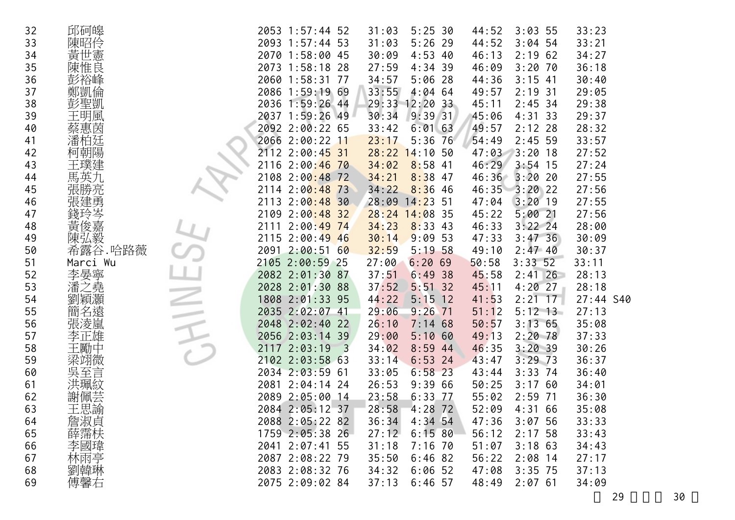| 32 | 邱砢皞      |  | 2053 1:57:44 52 |                         | 31:03 | 5:25.30          | 44:52 | 3:035         | 33:23     |  |
|----|----------|--|-----------------|-------------------------|-------|------------------|-------|---------------|-----------|--|
| 33 | 陳昭伶      |  | 2093 1:57:44 53 |                         | 31:03 | $5:26$ 29        | 44:52 | $3:04$ 54     | 33:21     |  |
| 34 | 黃世憲      |  | 2070 1:58:00 45 |                         | 30:09 | $4:53$ 40        | 46:13 | 2:1962        | 34:27     |  |
| 35 | 陳惟良      |  | 2073 1:58:18 28 |                         | 27:59 | $4:34$ 39        | 46:09 | $3:20$ 70     | 36:18     |  |
| 36 | 彭裕峰      |  | 2060 1:58:31 77 |                         | 34:57 | $5:06$ 28        | 44:36 | $3:15$ 41     | 30:40     |  |
| 37 | 鄭凱倫      |  | 2086 1:59:19 69 |                         | 33:55 | $4:04$ 64        | 49:57 | $2:19$ 31     | 29:05     |  |
| 38 | 彭聖凱      |  | 2036 1:59:26 44 |                         |       | 29:33 12:20 33   | 45:11 | $2:45$ 34     | 29:38     |  |
| 39 | 王明風      |  | 2037 1:59:26 49 |                         | 30:34 | 9:39.31          | 45:06 | $4:31$ 33     | 29:37     |  |
| 40 | 蔡惠茵      |  | 2092 2:00:22 65 |                         | 33:42 | $6:01$ 63        | 49:57 | $2:12$ 28     | 28:32     |  |
| 41 | 潘柏廷      |  | 2066 2:00:22 11 |                         | 23:17 | $5:36$ 76        | 54:49 | $2:45$ 59     | 33:57     |  |
| 42 | 柯朝陽      |  | 2112 2:00:45 31 |                         | 28:22 | 14:1050          | 47:03 | $3:20$ 18     | 27:52     |  |
| 43 | 王璞建      |  | 2116 2:00:46 70 |                         | 34:02 | $8:58$ 41        | 46:29 | $3:54$ 15     | 27:24     |  |
| 44 | 馬英九      |  | 2108 2:00:48 72 |                         | 34:21 | $8:38$ 47        | 46:36 | $3:20$ 20     | 27:55     |  |
| 45 | 張勝亮      |  | 2114 2:00:48 73 |                         | 34:22 | $8:36$ 46        |       | 46:35 3:20 22 | 27:56     |  |
| 46 | 張建勇      |  | 2113 2:00:48 30 |                         |       | $28:09$ 14:23 51 | 47:04 | $3:20$ 19     | 27:55     |  |
| 47 | 錢玲岑嘉     |  | 2109 2:00:48 32 |                         |       | $28:24$ 14:08 35 | 45:22 | 5:0021        | 27:56     |  |
| 48 |          |  | 2111 2:00:49 74 |                         | 34:23 | $8:33$ 43        | 46:33 | $3:22$ 24     | 28:00     |  |
| 49 | 陳弘毅      |  | 2115 2:00:49 46 |                         | 30:14 | 9:0953           | 47:33 | 3:47,36       | 30:09     |  |
| 50 | 希露谷.哈路薇  |  | 2091 2:00:51 60 |                         | 32:59 | 5:1958           | 49:10 | 2:47.40       | 30:37     |  |
| 51 | Marci Wu |  | 2105 2:00:59 25 |                         | 27:00 | 6:2069           | 50:58 | 3:33.52       | 33:11     |  |
| 52 | 李晏寧      |  | 2082 2:01:30 87 |                         | 37:51 | 6:49.38          | 45:58 | $2:41$ 26     | 28:13     |  |
| 53 | 之堯<br>潘  |  | 2028 2:01:30 88 |                         | 37:52 | $5:51$ 32        | 45:11 | $4:20$ 27     | 28:18     |  |
| 54 | 劉穎灝      |  | 1808 2:01:33 95 |                         | 44:22 | $5:15$ 12        | 41:53 | $2:21$ 17     | 27:44 S40 |  |
| 55 | 簡名遠      |  | 2035 2:02:07 41 |                         | 29:06 | $9:26$ 71        | 51:12 | $5:12$ 13     | 27:13     |  |
| 56 | 張淩嵐      |  | 2048 2:02:40 22 |                         | 26:10 | 7:1468           | 50:57 | 3:1365        | 35:08     |  |
| 57 | 李正雄      |  | 2056 2:03:14 39 |                         | 29:00 | 5:1060           | 49:13 | $2:20 \ 78$   | 37:33     |  |
| 58 | 王勵中      |  | 2117 2:03:19    | $\overline{\mathbf{3}}$ | 34:02 | $8:59$ 44        | 46:35 | 3:20.39       | 30:26     |  |
| 59 | 梁翊微      |  | 2102 2:03:58 63 |                         | 33:14 | $6:53$ 24        | 43:47 | $3:29$ 73     | 36:37     |  |
| 60 | 吳至<br>言  |  | 2034 2:03:59 61 |                         | 33:05 | $6:58$ 23        | 43:44 | $3:33$ 74     | 36:40     |  |
| 61 | 洪珮紋      |  | 2081 2:04:14 24 |                         | 26:53 | 9:3966           | 50:25 | 3:1760        | 34:01     |  |
| 62 | 謝佩芸      |  | 2089 2:05:00 14 |                         | 23:58 | $6:33$ 77        | 55:02 | $2:59$ 71     | 36:30     |  |
| 63 | 王思諭      |  | 2084 2:05:12 37 |                         | 28:58 | $4:28$ 72        | 52:09 | 4:3166        | 35:08     |  |
| 64 | 詹淑貞      |  | 2088 2:05:22 82 |                         | 36:34 | $4:34$ 54        | 47:36 | 3:0756        | 33:33     |  |
| 65 | 薛霈枎      |  | 1759 2:05:38 26 |                         | 27:12 | 6:1580           | 56:12 | 2:17,58       | 33:43     |  |
| 66 | 李國瑋      |  | 2041 2:07:41 55 |                         | 31:18 | $7:16$ 70        | 51:07 | $3:18$ 63     | 34:43     |  |
| 67 | 林雨亭      |  | 2087 2:08:22 79 |                         | 35:50 | $6:46$ 82        | 56:22 | $2:08$ 14     | 27:17     |  |
| 68 | 劉韓琳      |  | 2083 2:08:32 76 |                         | 34:32 | $6:06$ 52        | 47:08 | $3:35$ 75     | 37:13     |  |
| 69 | 傅馨右      |  | 2075 2:09:02 84 |                         | 37:13 | $6:46$ 57        | 48:49 | $2:07$ 61     | 34:09     |  |